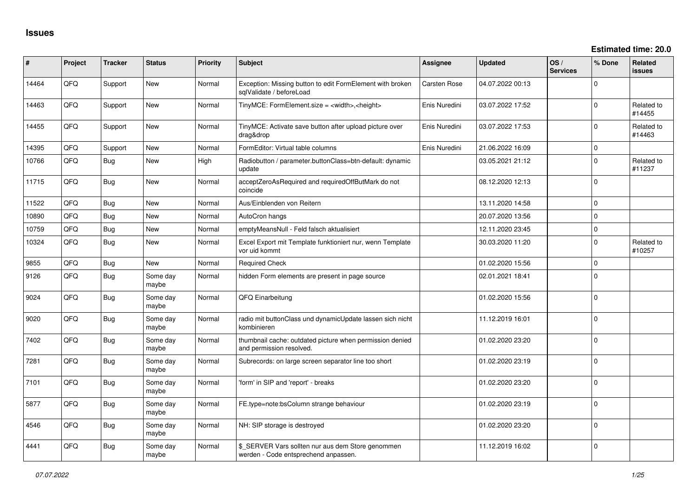| #     | Project | <b>Tracker</b> | <b>Status</b>     | Priority | <b>Subject</b>                                                                            | Assignee            | <b>Updated</b>   | OS/<br><b>Services</b> | % Done              | <b>Related</b><br><b>issues</b> |
|-------|---------|----------------|-------------------|----------|-------------------------------------------------------------------------------------------|---------------------|------------------|------------------------|---------------------|---------------------------------|
| 14464 | QFQ     | Support        | New               | Normal   | Exception: Missing button to edit FormElement with broken<br>sqlValidate / beforeLoad     | <b>Carsten Rose</b> | 04.07.2022 00:13 |                        | $\mathbf 0$         |                                 |
| 14463 | QFQ     | Support        | New               | Normal   | TinyMCE: FormElement.size = <width>,<height></height></width>                             | Enis Nuredini       | 03.07.2022 17:52 |                        | $\Omega$            | Related to<br>#14455            |
| 14455 | QFQ     | Support        | New               | Normal   | TinyMCE: Activate save button after upload picture over<br>drag&drop                      | Enis Nuredini       | 03.07.2022 17:53 |                        | $\Omega$            | Related to<br>#14463            |
| 14395 | QFQ     | Support        | <b>New</b>        | Normal   | FormEditor: Virtual table columns                                                         | Enis Nuredini       | 21.06.2022 16:09 |                        | $\mathbf 0$         |                                 |
| 10766 | QFQ     | <b>Bug</b>     | New               | High     | Radiobutton / parameter.buttonClass=btn-default: dynamic<br>update                        |                     | 03.05.2021 21:12 |                        | $\mathbf{0}$        | Related to<br>#11237            |
| 11715 | QFQ     | <b>Bug</b>     | New               | Normal   | acceptZeroAsRequired and requiredOffButMark do not<br>coincide                            |                     | 08.12.2020 12:13 |                        | $\Omega$            |                                 |
| 11522 | QFQ     | Bug            | New               | Normal   | Aus/Einblenden von Reitern                                                                |                     | 13.11.2020 14:58 |                        | $\mathbf 0$         |                                 |
| 10890 | QFQ     | <b>Bug</b>     | <b>New</b>        | Normal   | AutoCron hangs                                                                            |                     | 20.07.2020 13:56 |                        | $\mathbf 0$         |                                 |
| 10759 | QFQ     | <b>Bug</b>     | New               | Normal   | emptyMeansNull - Feld falsch aktualisiert                                                 |                     | 12.11.2020 23:45 |                        | $\mathsf{O}\xspace$ |                                 |
| 10324 | QFQ     | Bug            | <b>New</b>        | Normal   | Excel Export mit Template funktioniert nur, wenn Template<br>vor uid kommt                |                     | 30.03.2020 11:20 |                        | 0                   | Related to<br>#10257            |
| 9855  | QFQ     | <b>Bug</b>     | New               | Normal   | <b>Required Check</b>                                                                     |                     | 01.02.2020 15:56 |                        | $\mathbf 0$         |                                 |
| 9126  | QFQ     | Bug            | Some dav<br>maybe | Normal   | hidden Form elements are present in page source                                           |                     | 02.01.2021 18:41 |                        | $\Omega$            |                                 |
| 9024  | QFQ     | <b>Bug</b>     | Some day<br>maybe | Normal   | QFQ Einarbeitung                                                                          |                     | 01.02.2020 15:56 |                        | $\mathbf 0$         |                                 |
| 9020  | QFQ     | <b>Bug</b>     | Some dav<br>maybe | Normal   | radio mit buttonClass und dynamicUpdate lassen sich nicht<br>kombinieren                  |                     | 11.12.2019 16:01 |                        | 0                   |                                 |
| 7402  | QFQ     | Bug            | Some day<br>maybe | Normal   | thumbnail cache: outdated picture when permission denied<br>and permission resolved.      |                     | 01.02.2020 23:20 |                        | $\mathbf{0}$        |                                 |
| 7281  | QFQ     | <b>Bug</b>     | Some dav<br>maybe | Normal   | Subrecords: on large screen separator line too short                                      |                     | 01.02.2020 23:19 |                        | $\Omega$            |                                 |
| 7101  | QFQ     | <b>Bug</b>     | Some day<br>maybe | Normal   | 'form' in SIP and 'report' - breaks                                                       |                     | 01.02.2020 23:20 |                        | $\Omega$            |                                 |
| 5877  | QFQ     | <b>Bug</b>     | Some day<br>maybe | Normal   | FE.type=note:bsColumn strange behaviour                                                   |                     | 01.02.2020 23:19 |                        | $\Omega$            |                                 |
| 4546  | QFQ     | <b>Bug</b>     | Some day<br>maybe | Normal   | NH: SIP storage is destroyed                                                              |                     | 01.02.2020 23:20 |                        | $\Omega$            |                                 |
| 4441  | QFQ     | <b>Bug</b>     | Some day<br>maybe | Normal   | \$_SERVER Vars sollten nur aus dem Store genommen<br>werden - Code entsprechend anpassen. |                     | 11.12.2019 16:02 |                        | $\Omega$            |                                 |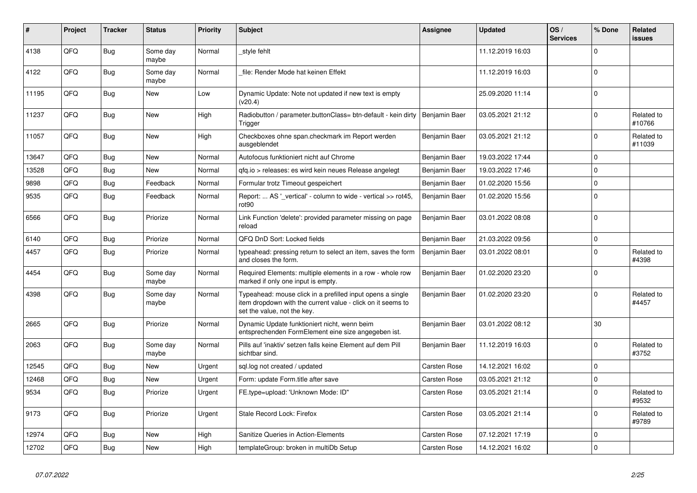| #     | Project | <b>Tracker</b> | <b>Status</b>     | <b>Priority</b> | <b>Subject</b>                                                                                                                                           | Assignee            | <b>Updated</b>   | OS/<br><b>Services</b> | % Done      | Related<br><b>issues</b> |
|-------|---------|----------------|-------------------|-----------------|----------------------------------------------------------------------------------------------------------------------------------------------------------|---------------------|------------------|------------------------|-------------|--------------------------|
| 4138  | QFQ     | <b>Bug</b>     | Some day<br>maybe | Normal          | style fehlt                                                                                                                                              |                     | 11.12.2019 16:03 |                        | $\Omega$    |                          |
| 4122  | QFQ     | <b>Bug</b>     | Some day<br>maybe | Normal          | file: Render Mode hat keinen Effekt                                                                                                                      |                     | 11.12.2019 16:03 |                        | $\Omega$    |                          |
| 11195 | QFQ     | Bug            | New               | Low             | Dynamic Update: Note not updated if new text is empty<br>(v20.4)                                                                                         |                     | 25.09.2020 11:14 |                        | $\Omega$    |                          |
| 11237 | QFQ     | Bug            | <b>New</b>        | High            | Radiobutton / parameter.buttonClass= btn-default - kein dirty<br>Trigger                                                                                 | Benjamin Baer       | 03.05.2021 21:12 |                        | $\Omega$    | Related to<br>#10766     |
| 11057 | QFQ     | Bug            | <b>New</b>        | High            | Checkboxes ohne span.checkmark im Report werden<br>ausgeblendet                                                                                          | Benjamin Baer       | 03.05.2021 21:12 |                        | $\Omega$    | Related to<br>#11039     |
| 13647 | QFQ     | Bug            | New               | Normal          | Autofocus funktioniert nicht auf Chrome                                                                                                                  | Benjamin Baer       | 19.03.2022 17:44 |                        | $\Omega$    |                          |
| 13528 | QFQ     | <b>Bug</b>     | New               | Normal          | gfg.io > releases: es wird kein neues Release angelegt                                                                                                   | Benjamin Baer       | 19.03.2022 17:46 |                        | $\mathbf 0$ |                          |
| 9898  | QFQ     | <b>Bug</b>     | Feedback          | Normal          | Formular trotz Timeout gespeichert                                                                                                                       | Benjamin Baer       | 01.02.2020 15:56 |                        | $\Omega$    |                          |
| 9535  | QFQ     | Bug            | Feedback          | Normal          | Report:  AS ' vertical' - column to wide - vertical >> rot45,<br>rot <sub>90</sub>                                                                       | Benjamin Baer       | 01.02.2020 15:56 |                        | $\Omega$    |                          |
| 6566  | QFQ     | Bug            | Priorize          | Normal          | Link Function 'delete': provided parameter missing on page<br>reload                                                                                     | Benjamin Baer       | 03.01.2022 08:08 |                        | $\Omega$    |                          |
| 6140  | QFQ     | <b>Bug</b>     | Priorize          | Normal          | QFQ DnD Sort: Locked fields                                                                                                                              | Benjamin Baer       | 21.03.2022 09:56 |                        | $\mathbf 0$ |                          |
| 4457  | QFQ     | <b>Bug</b>     | Priorize          | Normal          | typeahead: pressing return to select an item, saves the form<br>and closes the form.                                                                     | Benjamin Baer       | 03.01.2022 08:01 |                        | $\Omega$    | Related to<br>#4398      |
| 4454  | QFQ     | Bug            | Some day<br>maybe | Normal          | Required Elements: multiple elements in a row - whole row<br>marked if only one input is empty.                                                          | Benjamin Baer       | 01.02.2020 23:20 |                        | $\Omega$    |                          |
| 4398  | QFQ     | <b>Bug</b>     | Some day<br>maybe | Normal          | Typeahead: mouse click in a prefilled input opens a single<br>item dropdown with the current value - click on it seems to<br>set the value, not the key. | Benjamin Baer       | 01.02.2020 23:20 |                        | $\Omega$    | Related to<br>#4457      |
| 2665  | QFQ     | Bug            | Priorize          | Normal          | Dynamic Update funktioniert nicht, wenn beim<br>entsprechenden FormElement eine size angegeben ist.                                                      | Benjamin Baer       | 03.01.2022 08:12 |                        | 30          |                          |
| 2063  | QFQ     | Bug            | Some day<br>maybe | Normal          | Pills auf 'inaktiv' setzen falls keine Element auf dem Pill<br>sichtbar sind.                                                                            | Benjamin Baer       | 11.12.2019 16:03 |                        | $\Omega$    | Related to<br>#3752      |
| 12545 | QFQ     | Bug            | <b>New</b>        | Urgent          | sql.log not created / updated                                                                                                                            | Carsten Rose        | 14.12.2021 16:02 |                        | $\mathbf 0$ |                          |
| 12468 | QFQ     | <b>Bug</b>     | New               | Urgent          | Form: update Form.title after save                                                                                                                       | <b>Carsten Rose</b> | 03.05.2021 21:12 |                        | $\mathbf 0$ |                          |
| 9534  | QFQ     | <b>Bug</b>     | Priorize          | Urgent          | FE.type=upload: 'Unknown Mode: ID"                                                                                                                       | Carsten Rose        | 03.05.2021 21:14 |                        | $\Omega$    | Related to<br>#9532      |
| 9173  | QFQ     | <b>Bug</b>     | Priorize          | Urgent          | Stale Record Lock: Firefox                                                                                                                               | Carsten Rose        | 03.05.2021 21:14 |                        | $\Omega$    | Related to<br>#9789      |
| 12974 | QFQ     | Bug            | <b>New</b>        | High            | Sanitize Queries in Action-Elements                                                                                                                      | <b>Carsten Rose</b> | 07.12.2021 17:19 |                        | $\mathbf 0$ |                          |
| 12702 | QFQ     | Bug            | New               | High            | templateGroup: broken in multiDb Setup                                                                                                                   | Carsten Rose        | 14.12.2021 16:02 |                        | $\mathbf 0$ |                          |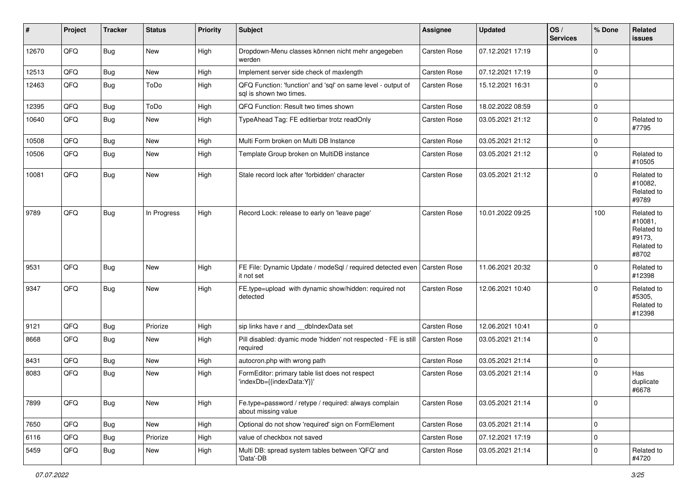| ∣#    | Project | <b>Tracker</b> | <b>Status</b> | <b>Priority</b> | <b>Subject</b>                                                                          | Assignee            | <b>Updated</b>   | OS/<br><b>Services</b> | % Done      | Related<br>issues                                                    |
|-------|---------|----------------|---------------|-----------------|-----------------------------------------------------------------------------------------|---------------------|------------------|------------------------|-------------|----------------------------------------------------------------------|
| 12670 | QFQ     | <b>Bug</b>     | New           | High            | Dropdown-Menu classes können nicht mehr angegeben<br>werden                             | Carsten Rose        | 07.12.2021 17:19 |                        | $\Omega$    |                                                                      |
| 12513 | QFQ     | Bug            | New           | High            | Implement server side check of maxlength                                                | Carsten Rose        | 07.12.2021 17:19 |                        | $\mathbf 0$ |                                                                      |
| 12463 | QFQ     | <b>Bug</b>     | ToDo          | High            | QFQ Function: 'function' and 'sql' on same level - output of<br>sal is shown two times. | Carsten Rose        | 15.12.2021 16:31 |                        | $\mathbf 0$ |                                                                      |
| 12395 | QFQ     | Bug            | ToDo          | High            | QFQ Function: Result two times shown                                                    | Carsten Rose        | 18.02.2022 08:59 |                        | $\mathbf 0$ |                                                                      |
| 10640 | QFQ     | <b>Bug</b>     | New           | High            | TypeAhead Tag: FE editierbar trotz readOnly                                             | Carsten Rose        | 03.05.2021 21:12 |                        | $\mathbf 0$ | Related to<br>#7795                                                  |
| 10508 | QFQ     | Bug            | <b>New</b>    | High            | Multi Form broken on Multi DB Instance                                                  | Carsten Rose        | 03.05.2021 21:12 |                        | $\mathbf 0$ |                                                                      |
| 10506 | QFQ     | Bug            | New           | High            | Template Group broken on MultiDB instance                                               | Carsten Rose        | 03.05.2021 21:12 |                        | $\mathbf 0$ | Related to<br>#10505                                                 |
| 10081 | QFQ     | <b>Bug</b>     | New           | High            | Stale record lock after 'forbidden' character                                           | Carsten Rose        | 03.05.2021 21:12 |                        | $\Omega$    | Related to<br>#10082,<br>Related to<br>#9789                         |
| 9789  | QFQ     | <b>Bug</b>     | In Progress   | High            | Record Lock: release to early on 'leave page'                                           | Carsten Rose        | 10.01.2022 09:25 |                        | 100         | Related to<br>#10081,<br>Related to<br>#9173,<br>Related to<br>#8702 |
| 9531  | QFQ     | <b>Bug</b>     | New           | High            | FE File: Dynamic Update / modeSql / required detected even<br>it not set                | <b>Carsten Rose</b> | 11.06.2021 20:32 |                        | $\Omega$    | Related to<br>#12398                                                 |
| 9347  | QFQ     | Bug            | New           | High            | FE.type=upload with dynamic show/hidden: required not<br>detected                       | Carsten Rose        | 12.06.2021 10:40 |                        | $\Omega$    | Related to<br>#5305,<br>Related to<br>#12398                         |
| 9121  | QFQ     | Bug            | Priorize      | High            | sip links have r and __dbIndexData set                                                  | Carsten Rose        | 12.06.2021 10:41 |                        | $\Omega$    |                                                                      |
| 8668  | QFQ     | <b>Bug</b>     | New           | High            | Pill disabled: dyamic mode 'hidden' not respected - FE is still<br>required             | Carsten Rose        | 03.05.2021 21:14 |                        | $\mathbf 0$ |                                                                      |
| 8431  | QFQ     | Bug            | New           | High            | autocron.php with wrong path                                                            | Carsten Rose        | 03.05.2021 21:14 |                        | $\mathbf 0$ |                                                                      |
| 8083  | QFQ     | <b>Bug</b>     | New           | High            | FormEditor: primary table list does not respect<br>'indexDb={{indexData:Y}}'            | Carsten Rose        | 03.05.2021 21:14 |                        | $\Omega$    | Has<br>duplicate<br>#6678                                            |
| 7899  | QFQ     | <b>Bug</b>     | New           | High            | Fe.type=password / retype / required: always complain<br>about missing value            | Carsten Rose        | 03.05.2021 21:14 |                        | $\mathbf 0$ |                                                                      |
| 7650  | QFQ     | <b>Bug</b>     | New           | High            | Optional do not show 'required' sign on FormElement                                     | Carsten Rose        | 03.05.2021 21:14 |                        | $\pmb{0}$   |                                                                      |
| 6116  | QFQ     | <b>Bug</b>     | Priorize      | High            | value of checkbox not saved                                                             | Carsten Rose        | 07.12.2021 17:19 |                        | $\mathbf 0$ |                                                                      |
| 5459  | QFQ     | <b>Bug</b>     | New           | High            | Multi DB: spread system tables between 'QFQ' and<br>'Data'-DB                           | Carsten Rose        | 03.05.2021 21:14 |                        | $\mathbf 0$ | Related to<br>#4720                                                  |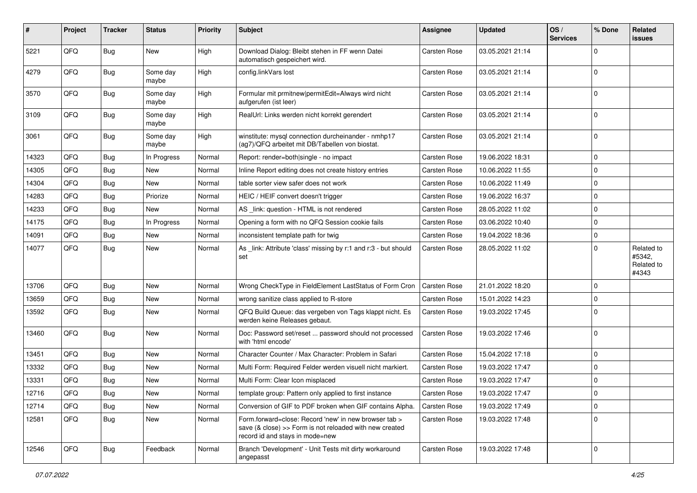| #     | Project | <b>Tracker</b> | <b>Status</b>     | <b>Priority</b> | <b>Subject</b>                                                                                                                                      | <b>Assignee</b>     | <b>Updated</b>   | OS/<br><b>Services</b> | % Done       | Related<br>issues                           |
|-------|---------|----------------|-------------------|-----------------|-----------------------------------------------------------------------------------------------------------------------------------------------------|---------------------|------------------|------------------------|--------------|---------------------------------------------|
| 5221  | QFQ     | <b>Bug</b>     | New               | High            | Download Dialog: Bleibt stehen in FF wenn Datei<br>automatisch gespeichert wird.                                                                    | <b>Carsten Rose</b> | 03.05.2021 21:14 |                        | $\mathbf 0$  |                                             |
| 4279  | QFQ     | <b>Bug</b>     | Some day<br>maybe | High            | config.linkVars lost                                                                                                                                | <b>Carsten Rose</b> | 03.05.2021 21:14 |                        | $\mathbf 0$  |                                             |
| 3570  | QFQ     | <b>Bug</b>     | Some day<br>maybe | High            | Formular mit prmitnew permitEdit=Always wird nicht<br>aufgerufen (ist leer)                                                                         | <b>Carsten Rose</b> | 03.05.2021 21:14 |                        | $\mathbf 0$  |                                             |
| 3109  | QFQ     | <b>Bug</b>     | Some day<br>maybe | High            | RealUrl: Links werden nicht korrekt gerendert                                                                                                       | <b>Carsten Rose</b> | 03.05.2021 21:14 |                        | $\mathbf 0$  |                                             |
| 3061  | QFQ     | <b>Bug</b>     | Some day<br>maybe | High            | winstitute: mysql connection durcheinander - nmhp17<br>(ag7)/QFQ arbeitet mit DB/Tabellen von biostat.                                              | <b>Carsten Rose</b> | 03.05.2021 21:14 |                        | $\mathbf 0$  |                                             |
| 14323 | QFQ     | <b>Bug</b>     | In Progress       | Normal          | Report: render=both single - no impact                                                                                                              | <b>Carsten Rose</b> | 19.06.2022 18:31 |                        | $\mathbf 0$  |                                             |
| 14305 | QFQ     | <b>Bug</b>     | New               | Normal          | Inline Report editing does not create history entries                                                                                               | <b>Carsten Rose</b> | 10.06.2022 11:55 |                        | 0            |                                             |
| 14304 | QFQ     | Bug            | New               | Normal          | table sorter view safer does not work                                                                                                               | <b>Carsten Rose</b> | 10.06.2022 11:49 |                        | 0            |                                             |
| 14283 | QFQ     | Bug            | Priorize          | Normal          | HEIC / HEIF convert doesn't trigger                                                                                                                 | <b>Carsten Rose</b> | 19.06.2022 16:37 |                        | $\mathbf 0$  |                                             |
| 14233 | QFQ     | Bug            | New               | Normal          | AS _link: question - HTML is not rendered                                                                                                           | <b>Carsten Rose</b> | 28.05.2022 11:02 |                        | $\mathbf 0$  |                                             |
| 14175 | QFQ     | Bug            | In Progress       | Normal          | Opening a form with no QFQ Session cookie fails                                                                                                     | <b>Carsten Rose</b> | 03.06.2022 10:40 |                        | 0            |                                             |
| 14091 | QFQ     | Bug            | New               | Normal          | inconsistent template path for twig                                                                                                                 | <b>Carsten Rose</b> | 19.04.2022 18:36 |                        | 0            |                                             |
| 14077 | QFQ     | <b>Bug</b>     | New               | Normal          | As _link: Attribute 'class' missing by r:1 and r:3 - but should<br>set                                                                              | <b>Carsten Rose</b> | 28.05.2022 11:02 |                        | $\mathbf 0$  | Related to<br>#5342,<br>Related to<br>#4343 |
| 13706 | QFQ     | <b>Bug</b>     | <b>New</b>        | Normal          | Wrong CheckType in FieldElement LastStatus of Form Cron                                                                                             | <b>Carsten Rose</b> | 21.01.2022 18:20 |                        | $\mathbf 0$  |                                             |
| 13659 | QFQ     | <b>Bug</b>     | New               | Normal          | wrong sanitize class applied to R-store                                                                                                             | <b>Carsten Rose</b> | 15.01.2022 14:23 |                        | 0            |                                             |
| 13592 | QFQ     | <b>Bug</b>     | New               | Normal          | QFQ Build Queue: das vergeben von Tags klappt nicht. Es<br>werden keine Releases gebaut.                                                            | Carsten Rose        | 19.03.2022 17:45 |                        | $\mathbf 0$  |                                             |
| 13460 | QFQ     | <b>Bug</b>     | New               | Normal          | Doc: Password set/reset  password should not processed<br>with 'html encode'                                                                        | Carsten Rose        | 19.03.2022 17:46 |                        | $\Omega$     |                                             |
| 13451 | QFQ     | Bug            | New               | Normal          | Character Counter / Max Character: Problem in Safari                                                                                                | <b>Carsten Rose</b> | 15.04.2022 17:18 |                        | 0            |                                             |
| 13332 | QFQ     | <b>Bug</b>     | New               | Normal          | Multi Form: Required Felder werden visuell nicht markiert.                                                                                          | <b>Carsten Rose</b> | 19.03.2022 17:47 |                        | $\mathbf 0$  |                                             |
| 13331 | QFQ     | <b>Bug</b>     | New               | Normal          | Multi Form: Clear Icon misplaced                                                                                                                    | Carsten Rose        | 19.03.2022 17:47 |                        | $\mathbf 0$  |                                             |
| 12716 | QFG     | Bug            | New               | Normal          | template group: Pattern only applied to first instance                                                                                              | Carsten Rose        | 19.03.2022 17:47 |                        | $\Omega$     |                                             |
| 12714 | QFQ     | <b>Bug</b>     | New               | Normal          | Conversion of GIF to PDF broken when GIF contains Alpha.                                                                                            | <b>Carsten Rose</b> | 19.03.2022 17:49 |                        | $\mathbf{0}$ |                                             |
| 12581 | QFQ     | <b>Bug</b>     | New               | Normal          | Form.forward=close: Record 'new' in new browser tab ><br>save (& close) >> Form is not reloaded with new created<br>record id and stays in mode=new | <b>Carsten Rose</b> | 19.03.2022 17:48 |                        | $\mathbf 0$  |                                             |
| 12546 | QFQ     | <b>Bug</b>     | Feedback          | Normal          | Branch 'Development' - Unit Tests mit dirty workaround<br>angepasst                                                                                 | Carsten Rose        | 19.03.2022 17:48 |                        | $\mathbf 0$  |                                             |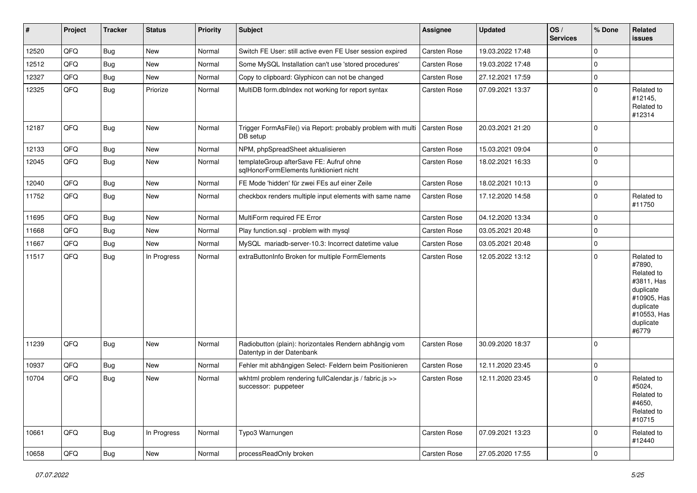| #     | Project | <b>Tracker</b> | <b>Status</b> | <b>Priority</b> | <b>Subject</b>                                                                      | Assignee     | <b>Updated</b>   | OS/<br><b>Services</b> | % Done      | Related<br><b>issues</b>                                                                                                       |
|-------|---------|----------------|---------------|-----------------|-------------------------------------------------------------------------------------|--------------|------------------|------------------------|-------------|--------------------------------------------------------------------------------------------------------------------------------|
| 12520 | QFQ     | <b>Bug</b>     | New           | Normal          | Switch FE User: still active even FE User session expired                           | Carsten Rose | 19.03.2022 17:48 |                        | $\Omega$    |                                                                                                                                |
| 12512 | QFQ     | Bug            | New           | Normal          | Some MySQL Installation can't use 'stored procedures'                               | Carsten Rose | 19.03.2022 17:48 |                        | $\mathbf 0$ |                                                                                                                                |
| 12327 | QFQ     | <b>Bug</b>     | New           | Normal          | Copy to clipboard: Glyphicon can not be changed                                     | Carsten Rose | 27.12.2021 17:59 |                        | $\mathbf 0$ |                                                                                                                                |
| 12325 | QFQ     | <b>Bug</b>     | Priorize      | Normal          | MultiDB form.dblndex not working for report syntax                                  | Carsten Rose | 07.09.2021 13:37 |                        | $\Omega$    | Related to<br>#12145,<br>Related to<br>#12314                                                                                  |
| 12187 | QFQ     | <b>Bug</b>     | New           | Normal          | Trigger FormAsFile() via Report: probably problem with multi<br>DB setup            | Carsten Rose | 20.03.2021 21:20 |                        | l 0         |                                                                                                                                |
| 12133 | QFQ     | Bug            | New           | Normal          | NPM, phpSpreadSheet aktualisieren                                                   | Carsten Rose | 15.03.2021 09:04 |                        | $\mathbf 0$ |                                                                                                                                |
| 12045 | QFQ     | Bug            | New           | Normal          | templateGroup afterSave FE: Aufruf ohne<br>sqlHonorFormElements funktioniert nicht  | Carsten Rose | 18.02.2021 16:33 |                        | $\Omega$    |                                                                                                                                |
| 12040 | QFQ     | <b>Bug</b>     | New           | Normal          | FE Mode 'hidden' für zwei FEs auf einer Zeile                                       | Carsten Rose | 18.02.2021 10:13 |                        | $\mathbf 0$ |                                                                                                                                |
| 11752 | QFQ     | <b>Bug</b>     | New           | Normal          | checkbox renders multiple input elements with same name                             | Carsten Rose | 17.12.2020 14:58 |                        | $\Omega$    | Related to<br>#11750                                                                                                           |
| 11695 | QFQ     | Bug            | New           | Normal          | MultiForm required FE Error                                                         | Carsten Rose | 04.12.2020 13:34 |                        | $\mathbf 0$ |                                                                                                                                |
| 11668 | QFQ     | <b>Bug</b>     | New           | Normal          | Play function.sql - problem with mysql                                              | Carsten Rose | 03.05.2021 20:48 |                        | $\mathbf 0$ |                                                                                                                                |
| 11667 | QFQ     | Bug            | New           | Normal          | MySQL mariadb-server-10.3: Incorrect datetime value                                 | Carsten Rose | 03.05.2021 20:48 |                        | $\mathbf 0$ |                                                                                                                                |
| 11517 | QFQ     | Bug            | In Progress   | Normal          | extraButtonInfo Broken for multiple FormElements                                    | Carsten Rose | 12.05.2022 13:12 |                        | $\Omega$    | Related to<br>#7890,<br>Related to<br>#3811, Has<br>duplicate<br>#10905, Has<br>duplicate<br>#10553, Has<br>duplicate<br>#6779 |
| 11239 | QFQ     | Bug            | <b>New</b>    | Normal          | Radiobutton (plain): horizontales Rendern abhängig vom<br>Datentyp in der Datenbank | Carsten Rose | 30.09.2020 18:37 |                        | ١o          |                                                                                                                                |
| 10937 | QFQ     | Bug            | New           | Normal          | Fehler mit abhängigen Select- Feldern beim Positionieren                            | Carsten Rose | 12.11.2020 23:45 |                        | $\mathbf 0$ |                                                                                                                                |
| 10704 | QFQ     | Bug            | New           | Normal          | wkhtml problem rendering fullCalendar.js / fabric.js >><br>successor: puppeteer     | Carsten Rose | 12.11.2020 23:45 |                        | $\mathbf 0$ | Related to<br>#5024,<br>Related to<br>#4650,<br>Related to<br>#10715                                                           |
| 10661 | QFQ     | Bug            | In Progress   | Normal          | Typo3 Warnungen                                                                     | Carsten Rose | 07.09.2021 13:23 |                        | l 0         | Related to<br>#12440                                                                                                           |
| 10658 | QFQ     | <b>Bug</b>     | New           | Normal          | processReadOnly broken                                                              | Carsten Rose | 27.05.2020 17:55 |                        | 0           |                                                                                                                                |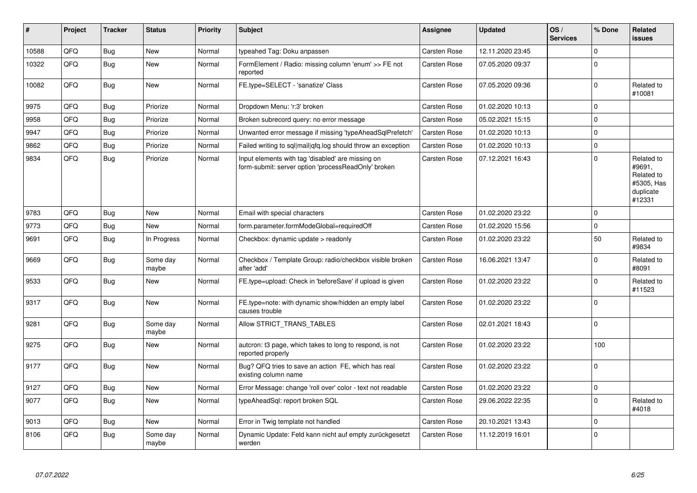| #     | Project | <b>Tracker</b> | <b>Status</b>     | <b>Priority</b> | <b>Subject</b>                                                                                           | Assignee     | <b>Updated</b>   | OS/<br><b>Services</b> | % Done   | Related<br><b>issues</b>                                                |
|-------|---------|----------------|-------------------|-----------------|----------------------------------------------------------------------------------------------------------|--------------|------------------|------------------------|----------|-------------------------------------------------------------------------|
| 10588 | QFQ     | <b>Bug</b>     | <b>New</b>        | Normal          | typeahed Tag: Doku anpassen                                                                              | Carsten Rose | 12.11.2020 23:45 |                        | $\Omega$ |                                                                         |
| 10322 | QFQ     | <b>Bug</b>     | New               | Normal          | FormElement / Radio: missing column 'enum' >> FE not<br>reported                                         | Carsten Rose | 07.05.2020 09:37 |                        | $\Omega$ |                                                                         |
| 10082 | QFQ     | Bug            | <b>New</b>        | Normal          | FE.type=SELECT - 'sanatize' Class                                                                        | Carsten Rose | 07.05.2020 09:36 |                        | $\Omega$ | Related to<br>#10081                                                    |
| 9975  | QFQ     | <b>Bug</b>     | Priorize          | Normal          | Dropdown Menu: 'r:3' broken                                                                              | Carsten Rose | 01.02.2020 10:13 |                        | $\Omega$ |                                                                         |
| 9958  | QFQ     | <b>Bug</b>     | Priorize          | Normal          | Broken subrecord query: no error message                                                                 | Carsten Rose | 05.02.2021 15:15 |                        | $\Omega$ |                                                                         |
| 9947  | QFQ     | <b>Bug</b>     | Priorize          | Normal          | Unwanted error message if missing 'typeAheadSqlPrefetch'                                                 | Carsten Rose | 01.02.2020 10:13 |                        | $\Omega$ |                                                                         |
| 9862  | QFQ     | <b>Bug</b>     | Priorize          | Normal          | Failed writing to sql mail qfq.log should throw an exception                                             | Carsten Rose | 01.02.2020 10:13 |                        | $\Omega$ |                                                                         |
| 9834  | QFQ     | <b>Bug</b>     | Priorize          | Normal          | Input elements with tag 'disabled' are missing on<br>form-submit: server option 'processReadOnly' broken | Carsten Rose | 07.12.2021 16:43 |                        | $\Omega$ | Related to<br>#9691,<br>Related to<br>#5305, Has<br>duplicate<br>#12331 |
| 9783  | QFQ     | <b>Bug</b>     | <b>New</b>        | Normal          | Email with special characters                                                                            | Carsten Rose | 01.02.2020 23:22 |                        | $\Omega$ |                                                                         |
| 9773  | QFQ     | Bug            | New               | Normal          | form.parameter.formModeGlobal=requiredOff                                                                | Carsten Rose | 01.02.2020 15:56 |                        | $\Omega$ |                                                                         |
| 9691  | QFQ     | <b>Bug</b>     | In Progress       | Normal          | Checkbox: dynamic update > readonly                                                                      | Carsten Rose | 01.02.2020 23:22 |                        | 50       | Related to<br>#9834                                                     |
| 9669  | QFQ     | <b>Bug</b>     | Some day<br>maybe | Normal          | Checkbox / Template Group: radio/checkbox visible broken<br>after 'add'                                  | Carsten Rose | 16.06.2021 13:47 |                        | $\Omega$ | Related to<br>#8091                                                     |
| 9533  | QFQ     | <b>Bug</b>     | New               | Normal          | FE.type=upload: Check in 'beforeSave' if upload is given                                                 | Carsten Rose | 01.02.2020 23:22 |                        | $\Omega$ | Related to<br>#11523                                                    |
| 9317  | QFQ     | <b>Bug</b>     | <b>New</b>        | Normal          | FE.type=note: with dynamic show/hidden an empty label<br>causes trouble                                  | Carsten Rose | 01.02.2020 23:22 |                        | $\Omega$ |                                                                         |
| 9281  | QFQ     | <b>Bug</b>     | Some day<br>maybe | Normal          | Allow STRICT_TRANS_TABLES                                                                                | Carsten Rose | 02.01.2021 18:43 |                        | $\Omega$ |                                                                         |
| 9275  | QFQ     | <b>Bug</b>     | New               | Normal          | autcron: t3 page, which takes to long to respond, is not<br>reported properly                            | Carsten Rose | 01.02.2020 23:22 |                        | 100      |                                                                         |
| 9177  | QFQ     | <b>Bug</b>     | <b>New</b>        | Normal          | Bug? QFQ tries to save an action FE, which has real<br>existing column name                              | Carsten Rose | 01.02.2020 23:22 |                        | $\Omega$ |                                                                         |
| 9127  | QFQ     | Bug            | <b>New</b>        | Normal          | Error Message: change 'roll over' color - text not readable                                              | Carsten Rose | 01.02.2020 23:22 |                        | $\Omega$ |                                                                         |
| 9077  | QFQ     | <b>Bug</b>     | <b>New</b>        | Normal          | typeAheadSql: report broken SQL                                                                          | Carsten Rose | 29.06.2022 22:35 |                        | $\Omega$ | Related to<br>#4018                                                     |
| 9013  | QFQ     | <b>Bug</b>     | <b>New</b>        | Normal          | Error in Twig template not handled                                                                       | Carsten Rose | 20.10.2021 13:43 |                        | $\Omega$ |                                                                         |
| 8106  | QFQ     | Bug            | Some day<br>maybe | Normal          | Dynamic Update: Feld kann nicht auf empty zurückgesetzt<br>werden                                        | Carsten Rose | 11.12.2019 16:01 |                        | $\Omega$ |                                                                         |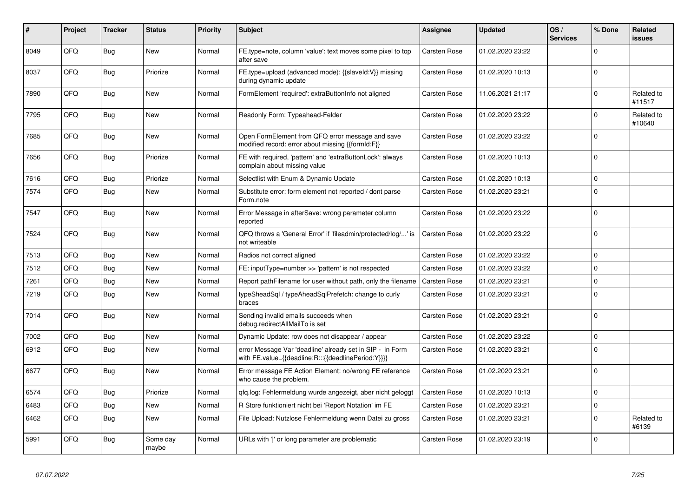| #    | <b>Project</b> | <b>Tracker</b> | <b>Status</b>     | <b>Priority</b> | <b>Subject</b>                                                                                                   | Assignee            | <b>Updated</b>   | OS/<br><b>Services</b> | % Done      | <b>Related</b><br>issues |
|------|----------------|----------------|-------------------|-----------------|------------------------------------------------------------------------------------------------------------------|---------------------|------------------|------------------------|-------------|--------------------------|
| 8049 | QFQ            | <b>Bug</b>     | <b>New</b>        | Normal          | FE.type=note, column 'value': text moves some pixel to top<br>after save                                         | Carsten Rose        | 01.02.2020 23:22 |                        | $\Omega$    |                          |
| 8037 | QFQ            | <b>Bug</b>     | Priorize          | Normal          | FE.type=upload (advanced mode): {{slaveld:V}} missing<br>during dynamic update                                   | Carsten Rose        | 01.02.2020 10:13 |                        | $\Omega$    |                          |
| 7890 | QFQ            | <b>Bug</b>     | New               | Normal          | FormElement 'required': extraButtonInfo not aligned                                                              | Carsten Rose        | 11.06.2021 21:17 |                        | $\Omega$    | Related to<br>#11517     |
| 7795 | QFQ            | Bug            | New               | Normal          | Readonly Form: Typeahead-Felder                                                                                  | Carsten Rose        | 01.02.2020 23:22 |                        | $\Omega$    | Related to<br>#10640     |
| 7685 | QFQ            | <b>Bug</b>     | <b>New</b>        | Normal          | Open FormElement from QFQ error message and save<br>modified record: error about missing {{formId:F}}            | Carsten Rose        | 01.02.2020 23:22 |                        | $\Omega$    |                          |
| 7656 | QFQ            | <b>Bug</b>     | Priorize          | Normal          | FE with required, 'pattern' and 'extraButtonLock': always<br>complain about missing value                        | Carsten Rose        | 01.02.2020 10:13 |                        | $\Omega$    |                          |
| 7616 | QFQ            | Bug            | Priorize          | Normal          | Selectlist with Enum & Dynamic Update                                                                            | Carsten Rose        | 01.02.2020 10:13 |                        | $\Omega$    |                          |
| 7574 | QFQ            | Bug            | <b>New</b>        | Normal          | Substitute error: form element not reported / dont parse<br>Form.note                                            | Carsten Rose        | 01.02.2020 23:21 |                        | $\Omega$    |                          |
| 7547 | QFQ            | <b>Bug</b>     | New               | Normal          | Error Message in afterSave: wrong parameter column<br>reported                                                   | Carsten Rose        | 01.02.2020 23:22 |                        | $\Omega$    |                          |
| 7524 | QFQ            | <b>Bug</b>     | <b>New</b>        | Normal          | QFQ throws a 'General Error' if 'fileadmin/protected/log/' is<br>not writeable                                   | Carsten Rose        | 01.02.2020 23:22 |                        | $\Omega$    |                          |
| 7513 | QFQ            | <b>Bug</b>     | <b>New</b>        | Normal          | Radios not correct aligned                                                                                       | Carsten Rose        | 01.02.2020 23:22 |                        | $\Omega$    |                          |
| 7512 | QFQ            | <b>Bug</b>     | <b>New</b>        | Normal          | FE: inputType=number >> 'pattern' is not respected                                                               | Carsten Rose        | 01.02.2020 23:22 |                        | $\Omega$    |                          |
| 7261 | QFQ            | <b>Bug</b>     | <b>New</b>        | Normal          | Report pathFilename for user without path, only the filename                                                     | <b>Carsten Rose</b> | 01.02.2020 23:21 |                        | $\Omega$    |                          |
| 7219 | QFQ            | <b>Bug</b>     | <b>New</b>        | Normal          | typeSheadSql / typeAheadSqlPrefetch: change to curly<br>braces                                                   | Carsten Rose        | 01.02.2020 23:21 |                        | $\Omega$    |                          |
| 7014 | QFQ            | Bug            | <b>New</b>        | Normal          | Sending invalid emails succeeds when<br>debug.redirectAllMailTo is set                                           | Carsten Rose        | 01.02.2020 23:21 |                        | $\Omega$    |                          |
| 7002 | QFQ            | <b>Bug</b>     | New               | Normal          | Dynamic Update: row does not disappear / appear                                                                  | Carsten Rose        | 01.02.2020 23:22 |                        | $\Omega$    |                          |
| 6912 | QFQ            | <b>Bug</b>     | <b>New</b>        | Normal          | error Message Var 'deadline' already set in SIP - in Form<br>with FE.value={{deadline:R:::{{deadlinePeriod:Y}}}} | Carsten Rose        | 01.02.2020 23:21 |                        | $\Omega$    |                          |
| 6677 | QFQ            | <b>Bug</b>     | New               | Normal          | Error message FE Action Element: no/wrong FE reference<br>who cause the problem.                                 | Carsten Rose        | 01.02.2020 23:21 |                        | $\Omega$    |                          |
| 6574 | QFQ            | Bug            | Priorize          | Normal          | gfg.log: Fehlermeldung wurde angezeigt, aber nicht geloggt                                                       | <b>Carsten Rose</b> | 01.02.2020 10:13 |                        | $\Omega$    |                          |
| 6483 | QFQ            | <b>Bug</b>     | New               | Normal          | R Store funktioniert nicht bei 'Report Notation' im FE                                                           | Carsten Rose        | 01.02.2020 23:21 |                        | $\mathbf 0$ |                          |
| 6462 | QFQ            | <b>Bug</b>     | New               | Normal          | File Upload: Nutzlose Fehlermeldung wenn Datei zu gross                                                          | Carsten Rose        | 01.02.2020 23:21 |                        | $\Omega$    | Related to<br>#6139      |
| 5991 | QFQ            | Bug            | Some day<br>maybe | Normal          | URLs with 'I' or long parameter are problematic                                                                  | Carsten Rose        | 01.02.2020 23:19 |                        | $\Omega$    |                          |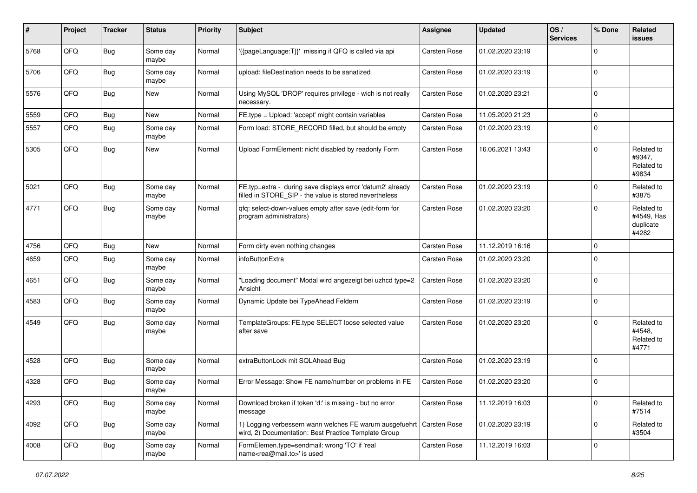| #    | Project | <b>Tracker</b> | <b>Status</b>     | <b>Priority</b> | <b>Subject</b>                                                                                                       | Assignee     | <b>Updated</b>   | OS/<br><b>Services</b> | % Done      | Related<br><b>issues</b>                       |
|------|---------|----------------|-------------------|-----------------|----------------------------------------------------------------------------------------------------------------------|--------------|------------------|------------------------|-------------|------------------------------------------------|
| 5768 | QFQ     | <b>Bug</b>     | Some day<br>maybe | Normal          | '{{pageLanguage:T}}' missing if QFQ is called via api                                                                | Carsten Rose | 01.02.2020 23:19 |                        | $\Omega$    |                                                |
| 5706 | QFQ     | <b>Bug</b>     | Some day<br>maybe | Normal          | upload: fileDestination needs to be sanatized                                                                        | Carsten Rose | 01.02.2020 23:19 |                        | $\mathbf 0$ |                                                |
| 5576 | QFQ     | Bug            | New               | Normal          | Using MySQL 'DROP' requires privilege - wich is not really<br>necessary.                                             | Carsten Rose | 01.02.2020 23:21 |                        | $\Omega$    |                                                |
| 5559 | QFQ     | Bug            | New               | Normal          | FE.type = Upload: 'accept' might contain variables                                                                   | Carsten Rose | 11.05.2020 21:23 |                        | $\mathbf 0$ |                                                |
| 5557 | QFQ     | <b>Bug</b>     | Some day<br>maybe | Normal          | Form load: STORE_RECORD filled, but should be empty                                                                  | Carsten Rose | 01.02.2020 23:19 |                        | $\Omega$    |                                                |
| 5305 | QFQ     | <b>Bug</b>     | New               | Normal          | Upload FormElement: nicht disabled by readonly Form                                                                  | Carsten Rose | 16.06.2021 13:43 |                        | $\Omega$    | Related to<br>#9347,<br>Related to<br>#9834    |
| 5021 | QFQ     | <b>Bug</b>     | Some day<br>maybe | Normal          | FE.typ=extra - during save displays error 'datum2' already<br>filled in STORE_SIP - the value is stored nevertheless | Carsten Rose | 01.02.2020 23:19 |                        | $\Omega$    | Related to<br>#3875                            |
| 4771 | QFQ     | <b>Bug</b>     | Some day<br>maybe | Normal          | gfg: select-down-values empty after save (edit-form for<br>program administrators)                                   | Carsten Rose | 01.02.2020 23:20 |                        | $\Omega$    | Related to<br>#4549, Has<br>duplicate<br>#4282 |
| 4756 | QFQ     | <b>Bug</b>     | New               | Normal          | Form dirty even nothing changes                                                                                      | Carsten Rose | 11.12.2019 16:16 |                        | $\mathbf 0$ |                                                |
| 4659 | QFQ     | <b>Bug</b>     | Some day<br>maybe | Normal          | infoButtonExtra                                                                                                      | Carsten Rose | 01.02.2020 23:20 |                        | $\mathbf 0$ |                                                |
| 4651 | QFQ     | <b>Bug</b>     | Some day<br>maybe | Normal          | "Loading document" Modal wird angezeigt bei uzhcd type=2<br>Ansicht                                                  | Carsten Rose | 01.02.2020 23:20 |                        | 0           |                                                |
| 4583 | QFQ     | <b>Bug</b>     | Some day<br>maybe | Normal          | Dynamic Update bei TypeAhead Feldern                                                                                 | Carsten Rose | 01.02.2020 23:19 |                        | $\mathbf 0$ |                                                |
| 4549 | QFQ     | <b>Bug</b>     | Some day<br>maybe | Normal          | TemplateGroups: FE.type SELECT loose selected value<br>after save                                                    | Carsten Rose | 01.02.2020 23:20 |                        | $\Omega$    | Related to<br>#4548,<br>Related to<br>#4771    |
| 4528 | QFQ     | <b>Bug</b>     | Some day<br>maybe | Normal          | extraButtonLock mit SQLAhead Bug                                                                                     | Carsten Rose | 01.02.2020 23:19 |                        | 0           |                                                |
| 4328 | QFQ     | <b>Bug</b>     | Some day<br>maybe | Normal          | Error Message: Show FE name/number on problems in FE                                                                 | Carsten Rose | 01.02.2020 23:20 |                        | $\mathbf 0$ |                                                |
| 4293 | QFQ     | <b>Bug</b>     | Some day<br>maybe | Normal          | Download broken if token 'd:' is missing - but no error<br>message                                                   | Carsten Rose | 11.12.2019 16:03 |                        | 0           | Related to<br>#7514                            |
| 4092 | QFQ     | Bug            | Some day<br>maybe | Normal          | 1) Logging verbessern wann welches FE warum ausgefuehrt<br>wird, 2) Documentation: Best Practice Template Group      | Carsten Rose | 01.02.2020 23:19 |                        | $\mathbf 0$ | Related to<br>#3504                            |
| 4008 | QFQ     | <b>Bug</b>     | Some day<br>maybe | Normal          | FormElemen.type=sendmail: wrong 'TO' if 'real<br>name <rea@mail.to>' is used</rea@mail.to>                           | Carsten Rose | 11.12.2019 16:03 |                        | $\mathbf 0$ |                                                |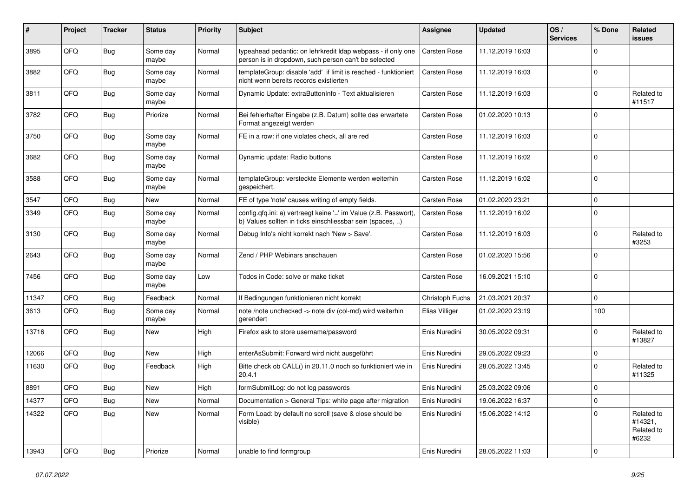| #     | Project | <b>Tracker</b> | <b>Status</b>     | <b>Priority</b> | <b>Subject</b>                                                                                                                | <b>Assignee</b>     | <b>Updated</b>   | OS/<br><b>Services</b> | % Done      | Related<br><b>issues</b>                     |
|-------|---------|----------------|-------------------|-----------------|-------------------------------------------------------------------------------------------------------------------------------|---------------------|------------------|------------------------|-------------|----------------------------------------------|
| 3895  | QFQ     | <b>Bug</b>     | Some day<br>maybe | Normal          | typeahead pedantic: on lehrkredit Idap webpass - if only one<br>person is in dropdown, such person can't be selected          | Carsten Rose        | 11.12.2019 16:03 |                        | $\Omega$    |                                              |
| 3882  | QFQ     | Bug            | Some day<br>maybe | Normal          | templateGroup: disable 'add' if limit is reached - funktioniert<br>nicht wenn bereits records existierten                     | Carsten Rose        | 11.12.2019 16:03 |                        | $\Omega$    |                                              |
| 3811  | QFQ     | <b>Bug</b>     | Some day<br>maybe | Normal          | Dynamic Update: extraButtonInfo - Text aktualisieren                                                                          | Carsten Rose        | 11.12.2019 16:03 |                        | $\Omega$    | Related to<br>#11517                         |
| 3782  | QFQ     | <b>Bug</b>     | Priorize          | Normal          | Bei fehlerhafter Eingabe (z.B. Datum) sollte das erwartete<br>Format angezeigt werden                                         | Carsten Rose        | 01.02.2020 10:13 |                        | $\Omega$    |                                              |
| 3750  | QFQ     | <b>Bug</b>     | Some day<br>maybe | Normal          | FE in a row: if one violates check, all are red                                                                               | Carsten Rose        | 11.12.2019 16:03 |                        | $\Omega$    |                                              |
| 3682  | QFQ     | <b>Bug</b>     | Some day<br>maybe | Normal          | Dynamic update: Radio buttons                                                                                                 | Carsten Rose        | 11.12.2019 16:02 |                        | $\Omega$    |                                              |
| 3588  | QFQ     | <b>Bug</b>     | Some day<br>maybe | Normal          | templateGroup: versteckte Elemente werden weiterhin<br>gespeichert.                                                           | Carsten Rose        | 11.12.2019 16:02 |                        | $\Omega$    |                                              |
| 3547  | QFQ     | <b>Bug</b>     | New               | Normal          | FE of type 'note' causes writing of empty fields.                                                                             | <b>Carsten Rose</b> | 01.02.2020 23:21 |                        | $\mathbf 0$ |                                              |
| 3349  | QFQ     | <b>Bug</b>     | Some day<br>maybe | Normal          | config.qfq.ini: a) vertraegt keine '=' im Value (z.B. Passwort),<br>b) Values sollten in ticks einschliessbar sein (spaces, ) | Carsten Rose        | 11.12.2019 16:02 |                        | $\Omega$    |                                              |
| 3130  | QFQ     | <b>Bug</b>     | Some day<br>maybe | Normal          | Debug Info's nicht korrekt nach 'New > Save'.                                                                                 | Carsten Rose        | 11.12.2019 16:03 |                        | $\Omega$    | Related to<br>#3253                          |
| 2643  | QFQ     | <b>Bug</b>     | Some day<br>maybe | Normal          | Zend / PHP Webinars anschauen                                                                                                 | Carsten Rose        | 01.02.2020 15:56 |                        | $\Omega$    |                                              |
| 7456  | QFQ     | <b>Bug</b>     | Some day<br>maybe | Low             | Todos in Code: solve or make ticket                                                                                           | Carsten Rose        | 16.09.2021 15:10 |                        | $\Omega$    |                                              |
| 11347 | QFQ     | <b>Bug</b>     | Feedback          | Normal          | If Bedingungen funktionieren nicht korrekt                                                                                    | Christoph Fuchs     | 21.03.2021 20:37 |                        | $\Omega$    |                                              |
| 3613  | QFQ     | <b>Bug</b>     | Some day<br>maybe | Normal          | note /note unchecked -> note div (col-md) wird weiterhin<br>gerendert                                                         | Elias Villiger      | 01.02.2020 23:19 |                        | 100         |                                              |
| 13716 | QFQ     | <b>Bug</b>     | New               | High            | Firefox ask to store username/password                                                                                        | Enis Nuredini       | 30.05.2022 09:31 |                        | $\Omega$    | Related to<br>#13827                         |
| 12066 | QFQ     | <b>Bug</b>     | New               | High            | enterAsSubmit: Forward wird nicht ausgeführt                                                                                  | Enis Nuredini       | 29.05.2022 09:23 |                        | 0           |                                              |
| 11630 | QFQ     | <b>Bug</b>     | Feedback          | High            | Bitte check ob CALL() in 20.11.0 noch so funktioniert wie in<br>20.4.1                                                        | Enis Nuredini       | 28.05.2022 13:45 |                        | $\Omega$    | Related to<br>#11325                         |
| 8891  | QFQ     | <b>Bug</b>     | New               | High            | formSubmitLog: do not log passwords                                                                                           | Enis Nuredini       | 25.03.2022 09:06 |                        | $\Omega$    |                                              |
| 14377 | QFQ     | <b>Bug</b>     | New               | Normal          | Documentation > General Tips: white page after migration                                                                      | Enis Nuredini       | 19.06.2022 16:37 |                        | $\pmb{0}$   |                                              |
| 14322 | QFQ     | <b>Bug</b>     | New               | Normal          | Form Load: by default no scroll (save & close should be<br>visible)                                                           | Enis Nuredini       | 15.06.2022 14:12 |                        | $\Omega$    | Related to<br>#14321,<br>Related to<br>#6232 |
| 13943 | QFG     | <b>Bug</b>     | Priorize          | Normal          | unable to find formgroup                                                                                                      | Enis Nuredini       | 28.05.2022 11:03 |                        | $\mathbf 0$ |                                              |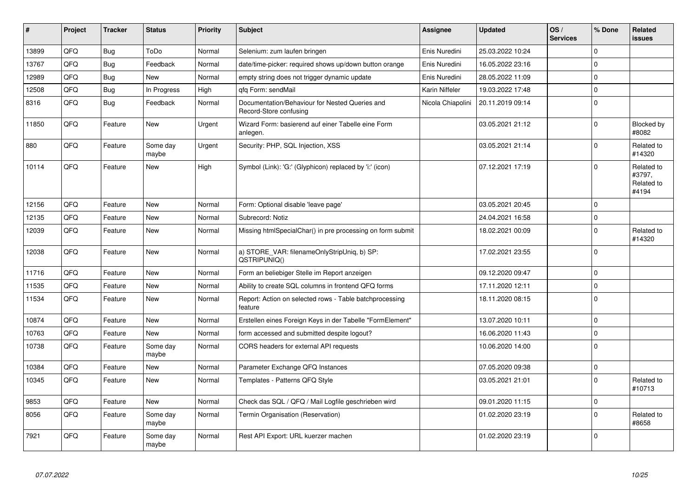| #     | Project | <b>Tracker</b> | <b>Status</b>     | <b>Priority</b> | <b>Subject</b>                                                           | Assignee          | <b>Updated</b>   | OS/<br><b>Services</b> | % Done      | Related<br><b>issues</b>                    |
|-------|---------|----------------|-------------------|-----------------|--------------------------------------------------------------------------|-------------------|------------------|------------------------|-------------|---------------------------------------------|
| 13899 | QFQ     | <b>Bug</b>     | ToDo              | Normal          | Selenium: zum laufen bringen                                             | Enis Nuredini     | 25.03.2022 10:24 |                        | $\mathbf 0$ |                                             |
| 13767 | QFQ     | Bug            | Feedback          | Normal          | date/time-picker: required shows up/down button orange                   | Enis Nuredini     | 16.05.2022 23:16 |                        | $\Omega$    |                                             |
| 12989 | QFQ     | Bug            | <b>New</b>        | Normal          | empty string does not trigger dynamic update                             | Enis Nuredini     | 28.05.2022 11:09 |                        | $\mathbf 0$ |                                             |
| 12508 | QFQ     | <b>Bug</b>     | In Progress       | High            | gfg Form: sendMail                                                       | Karin Niffeler    | 19.03.2022 17:48 |                        | $\mathbf 0$ |                                             |
| 8316  | QFQ     | Bug            | Feedback          | Normal          | Documentation/Behaviour for Nested Queries and<br>Record-Store confusing | Nicola Chiapolini | 20.11.2019 09:14 |                        | $\mathbf 0$ |                                             |
| 11850 | QFQ     | Feature        | <b>New</b>        | Urgent          | Wizard Form: basierend auf einer Tabelle eine Form<br>anlegen.           |                   | 03.05.2021 21:12 |                        | $\mathbf 0$ | Blocked by<br>#8082                         |
| 880   | QFQ     | Feature        | Some day<br>maybe | Urgent          | Security: PHP, SQL Injection, XSS                                        |                   | 03.05.2021 21:14 |                        | $\Omega$    | Related to<br>#14320                        |
| 10114 | QFQ     | Feature        | <b>New</b>        | High            | Symbol (Link): 'G:' (Glyphicon) replaced by 'i:' (icon)                  |                   | 07.12.2021 17:19 |                        | $\Omega$    | Related to<br>#3797,<br>Related to<br>#4194 |
| 12156 | QFQ     | Feature        | New               | Normal          | Form: Optional disable 'leave page'                                      |                   | 03.05.2021 20:45 |                        | $\Omega$    |                                             |
| 12135 | QFQ     | Feature        | <b>New</b>        | Normal          | Subrecord: Notiz                                                         |                   | 24.04.2021 16:58 |                        | $\mathbf 0$ |                                             |
| 12039 | QFQ     | Feature        | New               | Normal          | Missing htmlSpecialChar() in pre processing on form submit               |                   | 18.02.2021 00:09 |                        | $\Omega$    | Related to<br>#14320                        |
| 12038 | QFQ     | Feature        | <b>New</b>        | Normal          | a) STORE_VAR: filenameOnlyStripUniq, b) SP:<br>QSTRIPUNIQ()              |                   | 17.02.2021 23:55 |                        | $\Omega$    |                                             |
| 11716 | QFQ     | Feature        | <b>New</b>        | Normal          | Form an beliebiger Stelle im Report anzeigen                             |                   | 09.12.2020 09:47 |                        | $\Omega$    |                                             |
| 11535 | QFQ     | Feature        | <b>New</b>        | Normal          | Ability to create SQL columns in frontend QFQ forms                      |                   | 17.11.2020 12:11 |                        | $\mathbf 0$ |                                             |
| 11534 | QFQ     | Feature        | <b>New</b>        | Normal          | Report: Action on selected rows - Table batchprocessing<br>feature       |                   | 18.11.2020 08:15 |                        | $\Omega$    |                                             |
| 10874 | QFQ     | Feature        | <b>New</b>        | Normal          | Erstellen eines Foreign Keys in der Tabelle "FormElement"                |                   | 13.07.2020 10:11 |                        | $\Omega$    |                                             |
| 10763 | QFQ     | Feature        | <b>New</b>        | Normal          | form accessed and submitted despite logout?                              |                   | 16.06.2020 11:43 |                        | $\mathbf 0$ |                                             |
| 10738 | QFQ     | Feature        | Some day<br>maybe | Normal          | CORS headers for external API requests                                   |                   | 10.06.2020 14:00 |                        | $\Omega$    |                                             |
| 10384 | QFQ     | Feature        | <b>New</b>        | Normal          | Parameter Exchange QFQ Instances                                         |                   | 07.05.2020 09:38 |                        | $\mathbf 0$ |                                             |
| 10345 | QFQ     | Feature        | <b>New</b>        | Normal          | Templates - Patterns QFQ Style                                           |                   | 03.05.2021 21:01 |                        | $\mathbf 0$ | Related to<br>#10713                        |
| 9853  | QFQ     | Feature        | New               | Normal          | Check das SQL / QFQ / Mail Logfile geschrieben wird                      |                   | 09.01.2020 11:15 |                        | $\mathbf 0$ |                                             |
| 8056  | QFQ     | Feature        | Some day<br>maybe | Normal          | Termin Organisation (Reservation)                                        |                   | 01.02.2020 23:19 |                        | $\Omega$    | Related to<br>#8658                         |
| 7921  | QFQ     | Feature        | Some day<br>maybe | Normal          | Rest API Export: URL kuerzer machen                                      |                   | 01.02.2020 23:19 |                        | $\Omega$    |                                             |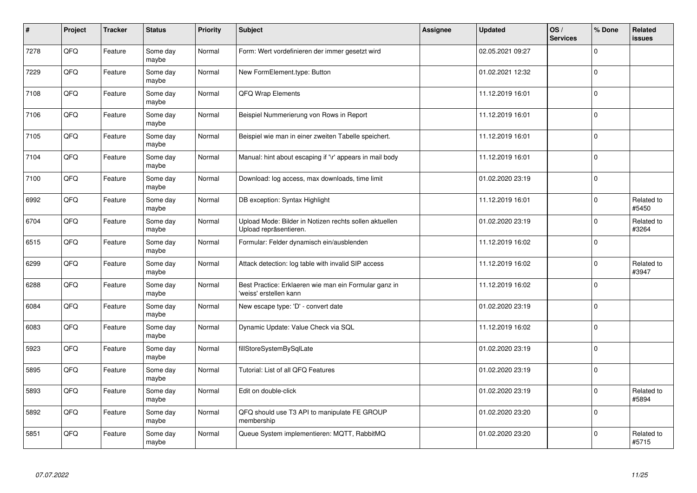| $\vert$ # | Project | <b>Tracker</b> | <b>Status</b>     | <b>Priority</b> | <b>Subject</b>                                                                   | Assignee | <b>Updated</b>   | OS/<br><b>Services</b> | % Done      | Related<br><b>issues</b> |
|-----------|---------|----------------|-------------------|-----------------|----------------------------------------------------------------------------------|----------|------------------|------------------------|-------------|--------------------------|
| 7278      | QFQ     | Feature        | Some day<br>maybe | Normal          | Form: Wert vordefinieren der immer gesetzt wird                                  |          | 02.05.2021 09:27 |                        | $\Omega$    |                          |
| 7229      | QFQ     | Feature        | Some day<br>maybe | Normal          | New FormElement.type: Button                                                     |          | 01.02.2021 12:32 |                        | $\Omega$    |                          |
| 7108      | QFQ     | Feature        | Some day<br>maybe | Normal          | <b>QFQ Wrap Elements</b>                                                         |          | 11.12.2019 16:01 |                        | $\Omega$    |                          |
| 7106      | QFQ     | Feature        | Some day<br>maybe | Normal          | Beispiel Nummerierung von Rows in Report                                         |          | 11.12.2019 16:01 |                        | $\Omega$    |                          |
| 7105      | QFQ     | Feature        | Some day<br>maybe | Normal          | Beispiel wie man in einer zweiten Tabelle speichert.                             |          | 11.12.2019 16:01 |                        | $\Omega$    |                          |
| 7104      | QFQ     | Feature        | Some day<br>maybe | Normal          | Manual: hint about escaping if '\r' appears in mail body                         |          | 11.12.2019 16:01 |                        | $\Omega$    |                          |
| 7100      | QFQ     | Feature        | Some day<br>maybe | Normal          | Download: log access, max downloads, time limit                                  |          | 01.02.2020 23:19 |                        | 0           |                          |
| 6992      | QFQ     | Feature        | Some day<br>maybe | Normal          | DB exception: Syntax Highlight                                                   |          | 11.12.2019 16:01 |                        | $\Omega$    | Related to<br>#5450      |
| 6704      | QFQ     | Feature        | Some day<br>maybe | Normal          | Upload Mode: Bilder in Notizen rechts sollen aktuellen<br>Upload repräsentieren. |          | 01.02.2020 23:19 |                        | $\Omega$    | Related to<br>#3264      |
| 6515      | QFQ     | Feature        | Some day<br>maybe | Normal          | Formular: Felder dynamisch ein/ausblenden                                        |          | 11.12.2019 16:02 |                        | $\mathbf 0$ |                          |
| 6299      | QFQ     | Feature        | Some day<br>maybe | Normal          | Attack detection: log table with invalid SIP access                              |          | 11.12.2019 16:02 |                        | $\Omega$    | Related to<br>#3947      |
| 6288      | QFQ     | Feature        | Some day<br>maybe | Normal          | Best Practice: Erklaeren wie man ein Formular ganz in<br>'weiss' erstellen kann  |          | 11.12.2019 16:02 |                        | $\Omega$    |                          |
| 6084      | QFQ     | Feature        | Some day<br>maybe | Normal          | New escape type: 'D' - convert date                                              |          | 01.02.2020 23:19 |                        | 0           |                          |
| 6083      | QFQ     | Feature        | Some day<br>maybe | Normal          | Dynamic Update: Value Check via SQL                                              |          | 11.12.2019 16:02 |                        | 0           |                          |
| 5923      | QFQ     | Feature        | Some day<br>maybe | Normal          | fillStoreSystemBySqlLate                                                         |          | 01.02.2020 23:19 |                        | $\Omega$    |                          |
| 5895      | QFQ     | Feature        | Some day<br>maybe | Normal          | Tutorial: List of all QFQ Features                                               |          | 01.02.2020 23:19 |                        | $\Omega$    |                          |
| 5893      | QFQ     | Feature        | Some day<br>maybe | Normal          | Edit on double-click                                                             |          | 01.02.2020 23:19 |                        | $\Omega$    | Related to<br>#5894      |
| 5892      | QFQ     | Feature        | Some day<br>maybe | Normal          | QFQ should use T3 API to manipulate FE GROUP<br>membership                       |          | 01.02.2020 23:20 |                        | 0           |                          |
| 5851      | QFQ     | Feature        | Some day<br>maybe | Normal          | Queue System implementieren: MQTT, RabbitMQ                                      |          | 01.02.2020 23:20 |                        | $\Omega$    | Related to<br>#5715      |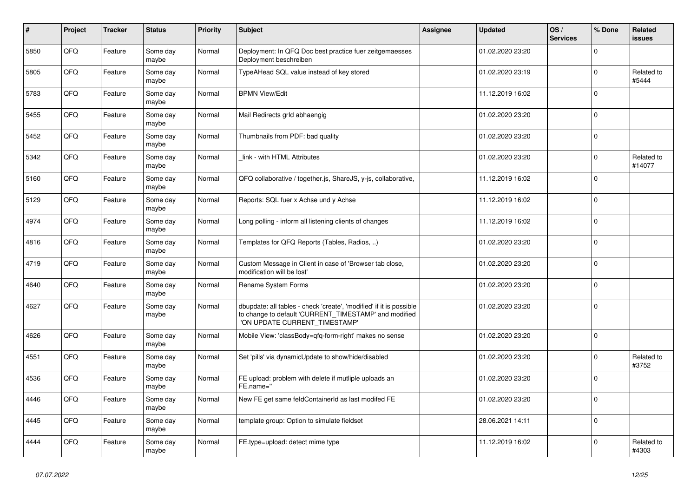| $\pmb{\#}$ | Project | <b>Tracker</b> | <b>Status</b>     | <b>Priority</b> | <b>Subject</b>                                                                                                                                                | <b>Assignee</b> | <b>Updated</b>   | OS/<br><b>Services</b> | % Done   | Related<br>issues    |
|------------|---------|----------------|-------------------|-----------------|---------------------------------------------------------------------------------------------------------------------------------------------------------------|-----------------|------------------|------------------------|----------|----------------------|
| 5850       | QFQ     | Feature        | Some day<br>maybe | Normal          | Deployment: In QFQ Doc best practice fuer zeitgemaesses<br>Deployment beschreiben                                                                             |                 | 01.02.2020 23:20 |                        | $\Omega$ |                      |
| 5805       | QFQ     | Feature        | Some day<br>maybe | Normal          | TypeAHead SQL value instead of key stored                                                                                                                     |                 | 01.02.2020 23:19 |                        | $\Omega$ | Related to<br>#5444  |
| 5783       | QFQ     | Feature        | Some day<br>maybe | Normal          | <b>BPMN View/Edit</b>                                                                                                                                         |                 | 11.12.2019 16:02 |                        | $\Omega$ |                      |
| 5455       | QFQ     | Feature        | Some day<br>maybe | Normal          | Mail Redirects grld abhaengig                                                                                                                                 |                 | 01.02.2020 23:20 |                        | $\Omega$ |                      |
| 5452       | QFQ     | Feature        | Some day<br>maybe | Normal          | Thumbnails from PDF: bad quality                                                                                                                              |                 | 01.02.2020 23:20 |                        | 0        |                      |
| 5342       | QFQ     | Feature        | Some day<br>maybe | Normal          | link - with HTML Attributes                                                                                                                                   |                 | 01.02.2020 23:20 |                        | $\Omega$ | Related to<br>#14077 |
| 5160       | QFQ     | Feature        | Some day<br>maybe | Normal          | QFQ collaborative / together.js, ShareJS, y-js, collaborative,                                                                                                |                 | 11.12.2019 16:02 |                        | $\Omega$ |                      |
| 5129       | QFQ     | Feature        | Some day<br>maybe | Normal          | Reports: SQL fuer x Achse und y Achse                                                                                                                         |                 | 11.12.2019 16:02 |                        | $\Omega$ |                      |
| 4974       | QFQ     | Feature        | Some day<br>maybe | Normal          | Long polling - inform all listening clients of changes                                                                                                        |                 | 11.12.2019 16:02 |                        | $\Omega$ |                      |
| 4816       | QFQ     | Feature        | Some day<br>maybe | Normal          | Templates for QFQ Reports (Tables, Radios, )                                                                                                                  |                 | 01.02.2020 23:20 |                        | $\Omega$ |                      |
| 4719       | QFQ     | Feature        | Some day<br>maybe | Normal          | Custom Message in Client in case of 'Browser tab close,<br>modification will be lost'                                                                         |                 | 01.02.2020 23:20 |                        | 0        |                      |
| 4640       | QFQ     | Feature        | Some day<br>maybe | Normal          | Rename System Forms                                                                                                                                           |                 | 01.02.2020 23:20 |                        | $\Omega$ |                      |
| 4627       | QFQ     | Feature        | Some day<br>maybe | Normal          | dbupdate: all tables - check 'create', 'modified' if it is possible<br>to change to default 'CURRENT_TIMESTAMP' and modified<br>'ON UPDATE CURRENT_TIMESTAMP' |                 | 01.02.2020 23:20 |                        | $\Omega$ |                      |
| 4626       | QFQ     | Feature        | Some dav<br>maybe | Normal          | Mobile View: 'classBody=qfq-form-right' makes no sense                                                                                                        |                 | 01.02.2020 23:20 |                        | $\Omega$ |                      |
| 4551       | QFQ     | Feature        | Some day<br>maybe | Normal          | Set 'pills' via dynamicUpdate to show/hide/disabled                                                                                                           |                 | 01.02.2020 23:20 |                        | 0        | Related to<br>#3752  |
| 4536       | QFQ     | Feature        | Some day<br>maybe | Normal          | FE upload: problem with delete if mutliple uploads an<br>FE.name="                                                                                            |                 | 01.02.2020 23:20 |                        | $\Omega$ |                      |
| 4446       | QFQ     | Feature        | Some day<br>maybe | Normal          | New FE get same feldContainerId as last modifed FE                                                                                                            |                 | 01.02.2020 23:20 |                        | $\Omega$ |                      |
| 4445       | QFQ     | Feature        | Some day<br>maybe | Normal          | template group: Option to simulate fieldset                                                                                                                   |                 | 28.06.2021 14:11 |                        | $\Omega$ |                      |
| 4444       | QFQ     | Feature        | Some day<br>maybe | Normal          | FE.type=upload: detect mime type                                                                                                                              |                 | 11.12.2019 16:02 |                        | $\Omega$ | Related to<br>#4303  |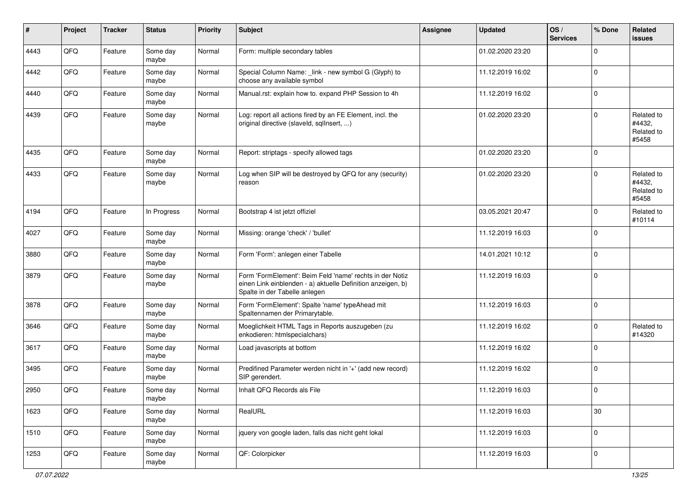| $\sharp$ | Project | <b>Tracker</b> | <b>Status</b>     | <b>Priority</b> | Subject                                                                                                                                                  | <b>Assignee</b> | <b>Updated</b>   | OS/<br><b>Services</b> | % Done      | Related<br><b>issues</b>                    |
|----------|---------|----------------|-------------------|-----------------|----------------------------------------------------------------------------------------------------------------------------------------------------------|-----------------|------------------|------------------------|-------------|---------------------------------------------|
| 4443     | QFQ     | Feature        | Some day<br>maybe | Normal          | Form: multiple secondary tables                                                                                                                          |                 | 01.02.2020 23:20 |                        | $\mathbf 0$ |                                             |
| 4442     | QFQ     | Feature        | Some day<br>maybe | Normal          | Special Column Name: _link - new symbol G (Glyph) to<br>choose any available symbol                                                                      |                 | 11.12.2019 16:02 |                        | 0           |                                             |
| 4440     | QFQ     | Feature        | Some day<br>maybe | Normal          | Manual.rst: explain how to. expand PHP Session to 4h                                                                                                     |                 | 11.12.2019 16:02 |                        | $\mathbf 0$ |                                             |
| 4439     | QFQ     | Feature        | Some day<br>maybe | Normal          | Log: report all actions fired by an FE Element, incl. the<br>original directive (slaveld, sqllnsert, )                                                   |                 | 01.02.2020 23:20 |                        | $\mathbf 0$ | Related to<br>#4432,<br>Related to<br>#5458 |
| 4435     | QFQ     | Feature        | Some day<br>maybe | Normal          | Report: striptags - specify allowed tags                                                                                                                 |                 | 01.02.2020 23:20 |                        | $\Omega$    |                                             |
| 4433     | QFQ     | Feature        | Some day<br>maybe | Normal          | Log when SIP will be destroyed by QFQ for any (security)<br>reason                                                                                       |                 | 01.02.2020 23:20 |                        | $\Omega$    | Related to<br>#4432,<br>Related to<br>#5458 |
| 4194     | QFQ     | Feature        | In Progress       | Normal          | Bootstrap 4 ist jetzt offiziel                                                                                                                           |                 | 03.05.2021 20:47 |                        | $\mathbf 0$ | Related to<br>#10114                        |
| 4027     | QFQ     | Feature        | Some day<br>maybe | Normal          | Missing: orange 'check' / 'bullet'                                                                                                                       |                 | 11.12.2019 16:03 |                        | $\Omega$    |                                             |
| 3880     | QFQ     | Feature        | Some day<br>maybe | Normal          | Form 'Form': anlegen einer Tabelle                                                                                                                       |                 | 14.01.2021 10:12 |                        | $\mathbf 0$ |                                             |
| 3879     | QFQ     | Feature        | Some day<br>maybe | Normal          | Form 'FormElement': Beim Feld 'name' rechts in der Notiz<br>einen Link einblenden - a) aktuelle Definition anzeigen, b)<br>Spalte in der Tabelle anlegen |                 | 11.12.2019 16:03 |                        | $\Omega$    |                                             |
| 3878     | QFQ     | Feature        | Some day<br>maybe | Normal          | Form 'FormElement': Spalte 'name' typeAhead mit<br>Spaltennamen der Primarytable.                                                                        |                 | 11.12.2019 16:03 |                        | $\mathbf 0$ |                                             |
| 3646     | QFQ     | Feature        | Some day<br>maybe | Normal          | Moeglichkeit HTML Tags in Reports auszugeben (zu<br>enkodieren: htmlspecialchars)                                                                        |                 | 11.12.2019 16:02 |                        | $\mathbf 0$ | Related to<br>#14320                        |
| 3617     | QFQ     | Feature        | Some day<br>maybe | Normal          | Load javascripts at bottom                                                                                                                               |                 | 11.12.2019 16:02 |                        | $\mathbf 0$ |                                             |
| 3495     | QFQ     | Feature        | Some day<br>maybe | Normal          | Predifined Parameter werden nicht in '+' (add new record)<br>SIP gerendert.                                                                              |                 | 11.12.2019 16:02 |                        | $\mathbf 0$ |                                             |
| 2950     | QFQ     | Feature        | Some day<br>maybe | Normal          | Inhalt QFQ Records als File                                                                                                                              |                 | 11.12.2019 16:03 |                        | 0           |                                             |
| 1623     | QFG     | Feature        | Some day<br>maybe | Normal          | RealURL                                                                                                                                                  |                 | 11.12.2019 16:03 |                        | 30          |                                             |
| 1510     | QFQ     | Feature        | Some day<br>maybe | Normal          | jquery von google laden, falls das nicht geht lokal                                                                                                      |                 | 11.12.2019 16:03 |                        | $\mathbf 0$ |                                             |
| 1253     | QFG     | Feature        | Some day<br>maybe | Normal          | QF: Colorpicker                                                                                                                                          |                 | 11.12.2019 16:03 |                        | 0           |                                             |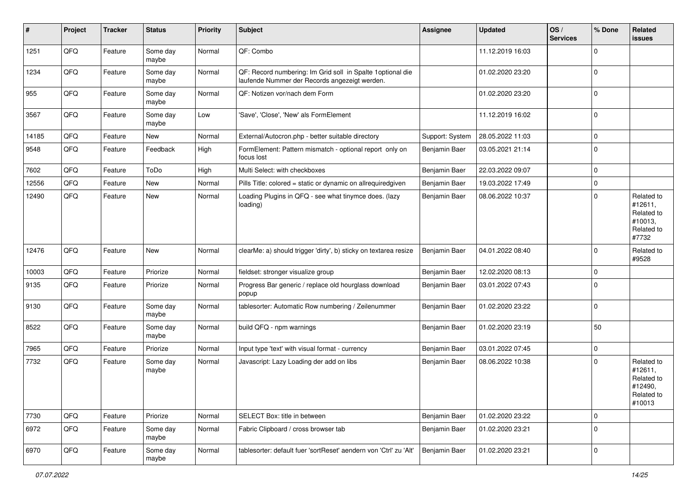| #     | Project | <b>Tracker</b> | <b>Status</b>     | <b>Priority</b> | Subject                                                                                                      | <b>Assignee</b> | <b>Updated</b>   | OS/<br><b>Services</b> | % Done      | Related<br>issues                                                      |
|-------|---------|----------------|-------------------|-----------------|--------------------------------------------------------------------------------------------------------------|-----------------|------------------|------------------------|-------------|------------------------------------------------------------------------|
| 1251  | QFQ     | Feature        | Some day<br>maybe | Normal          | QF: Combo                                                                                                    |                 | 11.12.2019 16:03 |                        | $\mathbf 0$ |                                                                        |
| 1234  | QFQ     | Feature        | Some day<br>maybe | Normal          | QF: Record numbering: Im Grid soll in Spalte 1 optional die<br>laufende Nummer der Records angezeigt werden. |                 | 01.02.2020 23:20 |                        | $\mathbf 0$ |                                                                        |
| 955   | QFQ     | Feature        | Some day<br>maybe | Normal          | QF: Notizen vor/nach dem Form                                                                                |                 | 01.02.2020 23:20 |                        | $\Omega$    |                                                                        |
| 3567  | QFQ     | Feature        | Some day<br>maybe | Low             | 'Save', 'Close', 'New' als FormElement                                                                       |                 | 11.12.2019 16:02 |                        | $\mathbf 0$ |                                                                        |
| 14185 | QFQ     | Feature        | <b>New</b>        | Normal          | External/Autocron.php - better suitable directory                                                            | Support: System | 28.05.2022 11:03 |                        | $\mathbf 0$ |                                                                        |
| 9548  | QFQ     | Feature        | Feedback          | High            | FormElement: Pattern mismatch - optional report only on<br>focus lost                                        | Benjamin Baer   | 03.05.2021 21:14 |                        | $\mathbf 0$ |                                                                        |
| 7602  | QFQ     | Feature        | ToDo              | High            | Multi Select: with checkboxes                                                                                | Benjamin Baer   | 22.03.2022 09:07 |                        | $\mathbf 0$ |                                                                        |
| 12556 | QFQ     | Feature        | New               | Normal          | Pills Title: colored = static or dynamic on allrequiredgiven                                                 | Benjamin Baer   | 19.03.2022 17:49 |                        | $\mathbf 0$ |                                                                        |
| 12490 | QFQ     | Feature        | New               | Normal          | Loading Plugins in QFQ - see what tinymce does. (lazy<br>loading)                                            | Benjamin Baer   | 08.06.2022 10:37 |                        | $\mathbf 0$ | Related to<br>#12611,<br>Related to<br>#10013,<br>Related to<br>#7732  |
| 12476 | QFQ     | Feature        | New               | Normal          | clearMe: a) should trigger 'dirty', b) sticky on textarea resize                                             | Benjamin Baer   | 04.01.2022 08:40 |                        | $\mathbf 0$ | Related to<br>#9528                                                    |
| 10003 | QFQ     | Feature        | Priorize          | Normal          | fieldset: stronger visualize group                                                                           | Benjamin Baer   | 12.02.2020 08:13 |                        | $\Omega$    |                                                                        |
| 9135  | QFQ     | Feature        | Priorize          | Normal          | Progress Bar generic / replace old hourglass download<br>popup                                               | Benjamin Baer   | 03.01.2022 07:43 |                        | $\Omega$    |                                                                        |
| 9130  | QFQ     | Feature        | Some day<br>maybe | Normal          | tablesorter: Automatic Row numbering / Zeilenummer                                                           | Benjamin Baer   | 01.02.2020 23:22 |                        | $\mathbf 0$ |                                                                        |
| 8522  | QFQ     | Feature        | Some day<br>maybe | Normal          | build QFQ - npm warnings                                                                                     | Benjamin Baer   | 01.02.2020 23:19 |                        | 50          |                                                                        |
| 7965  | QFQ     | Feature        | Priorize          | Normal          | Input type 'text' with visual format - currency                                                              | Benjamin Baer   | 03.01.2022 07:45 |                        | $\mathbf 0$ |                                                                        |
| 7732  | QFG     | Feature        | Some day<br>maybe | Normal          | Javascript: Lazy Loading der add on libs                                                                     | Benjamin Baer   | 08.06.2022 10:38 |                        | $\Omega$    | Related to<br>#12611,<br>Related to<br>#12490,<br>Related to<br>#10013 |
| 7730  | QFQ     | Feature        | Priorize          | Normal          | SELECT Box: title in between                                                                                 | Benjamin Baer   | 01.02.2020 23:22 |                        | $\mathbf 0$ |                                                                        |
| 6972  | QFQ     | Feature        | Some day<br>maybe | Normal          | Fabric Clipboard / cross browser tab                                                                         | Benjamin Baer   | 01.02.2020 23:21 |                        | $\mathbf 0$ |                                                                        |
| 6970  | QFG     | Feature        | Some day<br>maybe | Normal          | tablesorter: default fuer 'sortReset' aendern von 'Ctrl' zu 'Alt'                                            | Benjamin Baer   | 01.02.2020 23:21 |                        | $\mathbf 0$ |                                                                        |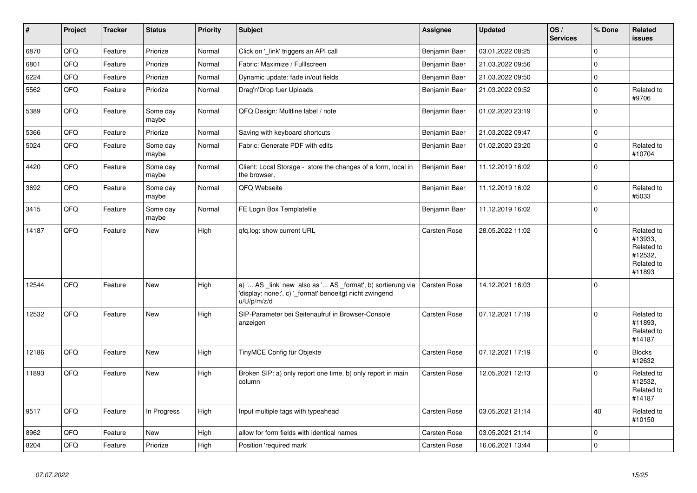| #     | <b>Project</b> | <b>Tracker</b> | <b>Status</b>     | <b>Priority</b> | <b>Subject</b>                                                                                                                                       | Assignee      | <b>Updated</b>   | OS/<br><b>Services</b> | % Done              | Related<br><b>issues</b>                                               |
|-------|----------------|----------------|-------------------|-----------------|------------------------------------------------------------------------------------------------------------------------------------------------------|---------------|------------------|------------------------|---------------------|------------------------------------------------------------------------|
| 6870  | QFQ            | Feature        | Priorize          | Normal          | Click on 'link' triggers an API call                                                                                                                 | Benjamin Baer | 03.01.2022 08:25 |                        | $\mathbf 0$         |                                                                        |
| 6801  | QFQ            | Feature        | Priorize          | Normal          | Fabric: Maximize / FullIscreen                                                                                                                       | Benjamin Baer | 21.03.2022 09:56 |                        | $\mathsf{O}\xspace$ |                                                                        |
| 6224  | QFQ            | Feature        | Priorize          | Normal          | Dynamic update: fade in/out fields                                                                                                                   | Benjamin Baer | 21.03.2022 09:50 |                        | $\mathbf 0$         |                                                                        |
| 5562  | QFQ            | Feature        | Priorize          | Normal          | Drag'n'Drop fuer Uploads                                                                                                                             | Benjamin Baer | 21.03.2022 09:52 |                        | $\mathbf 0$         | Related to<br>#9706                                                    |
| 5389  | QFQ            | Feature        | Some day<br>maybe | Normal          | QFQ Design: Multline label / note                                                                                                                    | Benjamin Baer | 01.02.2020 23:19 |                        | $\mathbf 0$         |                                                                        |
| 5366  | QFQ            | Feature        | Priorize          | Normal          | Saving with keyboard shortcuts                                                                                                                       | Benjamin Baer | 21.03.2022 09:47 |                        | $\mathbf 0$         |                                                                        |
| 5024  | QFQ            | Feature        | Some day<br>maybe | Normal          | Fabric: Generate PDF with edits                                                                                                                      | Benjamin Baer | 01.02.2020 23:20 |                        | $\mathbf 0$         | Related to<br>#10704                                                   |
| 4420  | QFQ            | Feature        | Some day<br>maybe | Normal          | Client: Local Storage - store the changes of a form, local in<br>the browser.                                                                        | Benjamin Baer | 11.12.2019 16:02 |                        | $\mathbf 0$         |                                                                        |
| 3692  | QFQ            | Feature        | Some day<br>maybe | Normal          | QFQ Webseite                                                                                                                                         | Benjamin Baer | 11.12.2019 16:02 |                        | $\mathsf{O}\xspace$ | Related to<br>#5033                                                    |
| 3415  | QFQ            | Feature        | Some day<br>maybe | Normal          | FE Login Box Templatefile                                                                                                                            | Benjamin Baer | 11.12.2019 16:02 |                        | $\mathsf{O}\xspace$ |                                                                        |
| 14187 | QFQ            | Feature        | New               | High            | gfg.log: show current URL                                                                                                                            | Carsten Rose  | 28.05.2022 11:02 |                        | $\mathbf 0$         | Related to<br>#13933,<br>Related to<br>#12532,<br>Related to<br>#11893 |
| 12544 | QFQ            | Feature        | New               | High            | a) ' AS _link' new also as ' AS _format', b) sortierung via   Carsten Rose<br>'display: none;', c) ' format' benoeitgt nicht zwingend<br>u/U/p/m/z/d |               | 14.12.2021 16:03 |                        | $\mathbf 0$         |                                                                        |
| 12532 | QFQ            | Feature        | <b>New</b>        | High            | SIP-Parameter bei Seitenaufruf in Browser-Console<br>anzeigen                                                                                        | Carsten Rose  | 07.12.2021 17:19 |                        | $\mathbf 0$         | Related to<br>#11893,<br>Related to<br>#14187                          |
| 12186 | QFQ            | Feature        | <b>New</b>        | High            | TinyMCE Config für Objekte                                                                                                                           | Carsten Rose  | 07.12.2021 17:19 |                        | $\mathbf 0$         | <b>Blocks</b><br>#12632                                                |
| 11893 | QFQ            | Feature        | <b>New</b>        | High            | Broken SIP: a) only report one time, b) only report in main<br>column                                                                                | Carsten Rose  | 12.05.2021 12:13 |                        | $\Omega$            | Related to<br>#12532,<br>Related to<br>#14187                          |
| 9517  | QFQ            | Feature        | In Progress       | High            | Input multiple tags with typeahead                                                                                                                   | Carsten Rose  | 03.05.2021 21:14 |                        | 40                  | Related to<br>#10150                                                   |
| 8962  | QFQ            | Feature        | <b>New</b>        | High            | allow for form fields with identical names                                                                                                           | Carsten Rose  | 03.05.2021 21:14 |                        | $\mathbf 0$         |                                                                        |
| 8204  | QFQ            | Feature        | Priorize          | High            | Position 'required mark'                                                                                                                             | Carsten Rose  | 16.06.2021 13:44 |                        | $\pmb{0}$           |                                                                        |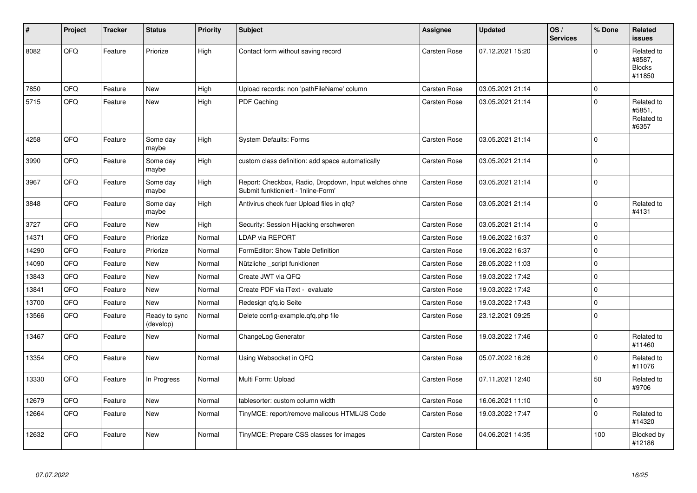| $\vert$ # | Project | <b>Tracker</b> | <b>Status</b>              | <b>Priority</b> | <b>Subject</b>                                                                               | <b>Assignee</b>     | <b>Updated</b>   | OS/<br><b>Services</b> | % Done              | <b>Related</b><br><b>issues</b>                 |
|-----------|---------|----------------|----------------------------|-----------------|----------------------------------------------------------------------------------------------|---------------------|------------------|------------------------|---------------------|-------------------------------------------------|
| 8082      | QFQ     | Feature        | Priorize                   | High            | Contact form without saving record                                                           | <b>Carsten Rose</b> | 07.12.2021 15:20 |                        | $\mathbf 0$         | Related to<br>#8587,<br><b>Blocks</b><br>#11850 |
| 7850      | QFQ     | Feature        | <b>New</b>                 | High            | Upload records: non 'pathFileName' column                                                    | Carsten Rose        | 03.05.2021 21:14 |                        | $\mathbf 0$         |                                                 |
| 5715      | QFQ     | Feature        | <b>New</b>                 | High            | PDF Caching                                                                                  | Carsten Rose        | 03.05.2021 21:14 |                        | $\mathbf 0$         | Related to<br>#5851,<br>Related to<br>#6357     |
| 4258      | QFQ     | Feature        | Some day<br>maybe          | High            | <b>System Defaults: Forms</b>                                                                | Carsten Rose        | 03.05.2021 21:14 |                        | $\mathbf 0$         |                                                 |
| 3990      | QFQ     | Feature        | Some day<br>maybe          | High            | custom class definition: add space automatically                                             | Carsten Rose        | 03.05.2021 21:14 |                        | $\mathsf 0$         |                                                 |
| 3967      | QFQ     | Feature        | Some day<br>maybe          | High            | Report: Checkbox, Radio, Dropdown, Input welches ohne<br>Submit funktioniert - 'Inline-Form' | Carsten Rose        | 03.05.2021 21:14 |                        | $\mathbf 0$         |                                                 |
| 3848      | QFQ     | Feature        | Some day<br>maybe          | High            | Antivirus check fuer Upload files in qfq?                                                    | Carsten Rose        | 03.05.2021 21:14 |                        | $\mathbf 0$         | Related to<br>#4131                             |
| 3727      | QFQ     | Feature        | <b>New</b>                 | High            | Security: Session Hijacking erschweren                                                       | Carsten Rose        | 03.05.2021 21:14 |                        | $\mathbf 0$         |                                                 |
| 14371     | QFQ     | Feature        | Priorize                   | Normal          | <b>LDAP via REPORT</b>                                                                       | Carsten Rose        | 19.06.2022 16:37 |                        | $\pmb{0}$           |                                                 |
| 14290     | QFQ     | Feature        | Priorize                   | Normal          | FormEditor: Show Table Definition                                                            | Carsten Rose        | 19.06.2022 16:37 |                        | $\pmb{0}$           |                                                 |
| 14090     | QFQ     | Feature        | <b>New</b>                 | Normal          | Nützliche _script funktionen                                                                 | Carsten Rose        | 28.05.2022 11:03 |                        | $\mathbf 0$         |                                                 |
| 13843     | QFQ     | Feature        | New                        | Normal          | Create JWT via QFQ                                                                           | Carsten Rose        | 19.03.2022 17:42 |                        | $\pmb{0}$           |                                                 |
| 13841     | QFQ     | Feature        | New                        | Normal          | Create PDF via iText - evaluate                                                              | Carsten Rose        | 19.03.2022 17:42 |                        | $\mathbf 0$         |                                                 |
| 13700     | QFQ     | Feature        | <b>New</b>                 | Normal          | Redesign gfg.io Seite                                                                        | Carsten Rose        | 19.03.2022 17:43 |                        | $\pmb{0}$           |                                                 |
| 13566     | QFQ     | Feature        | Ready to sync<br>(develop) | Normal          | Delete config-example.gfg.php file                                                           | Carsten Rose        | 23.12.2021 09:25 |                        | $\mathsf{O}\xspace$ |                                                 |
| 13467     | QFQ     | Feature        | New                        | Normal          | ChangeLog Generator                                                                          | Carsten Rose        | 19.03.2022 17:46 |                        | $\mathsf 0$         | Related to<br>#11460                            |
| 13354     | QFQ     | Feature        | <b>New</b>                 | Normal          | Using Websocket in QFQ                                                                       | Carsten Rose        | 05.07.2022 16:26 |                        | $\mathbf 0$         | Related to<br>#11076                            |
| 13330     | QFQ     | Feature        | In Progress                | Normal          | Multi Form: Upload                                                                           | Carsten Rose        | 07.11.2021 12:40 |                        | 50                  | Related to<br>#9706                             |
| 12679     | QFQ     | Feature        | <b>New</b>                 | Normal          | tablesorter: custom column width                                                             | Carsten Rose        | 16.06.2021 11:10 |                        | $\mathsf{O}\xspace$ |                                                 |
| 12664     | QFQ     | Feature        | New                        | Normal          | TinyMCE: report/remove malicous HTML/JS Code                                                 | Carsten Rose        | 19.03.2022 17:47 |                        | $\mathbf 0$         | Related to<br>#14320                            |
| 12632     | QFQ     | Feature        | <b>New</b>                 | Normal          | TinyMCE: Prepare CSS classes for images                                                      | Carsten Rose        | 04.06.2021 14:35 |                        | 100                 | Blocked by<br>#12186                            |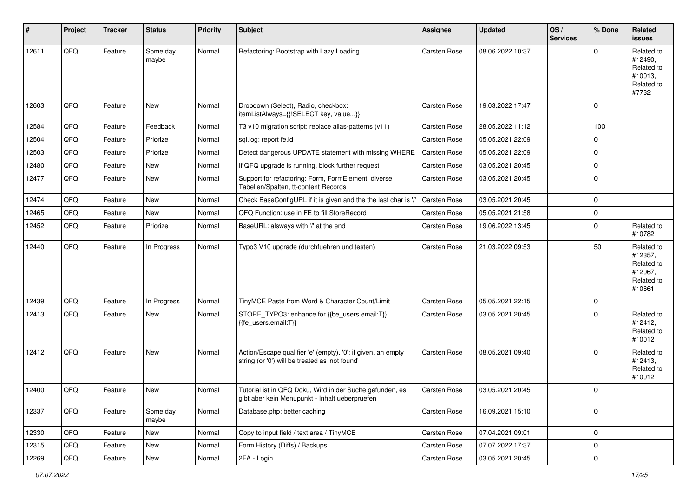| #     | Project | <b>Tracker</b> | <b>Status</b>     | <b>Priority</b> | <b>Subject</b>                                                                                                 | Assignee     | <b>Updated</b>   | OS/<br><b>Services</b> | % Done      | Related<br><b>issues</b>                                               |
|-------|---------|----------------|-------------------|-----------------|----------------------------------------------------------------------------------------------------------------|--------------|------------------|------------------------|-------------|------------------------------------------------------------------------|
| 12611 | QFQ     | Feature        | Some day<br>maybe | Normal          | Refactoring: Bootstrap with Lazy Loading                                                                       | Carsten Rose | 08.06.2022 10:37 |                        | O           | Related to<br>#12490,<br>Related to<br>#10013,<br>Related to<br>#7732  |
| 12603 | QFQ     | Feature        | <b>New</b>        | Normal          | Dropdown (Select), Radio, checkbox:<br>itemListAlways={{!SELECT key, value}}                                   | Carsten Rose | 19.03.2022 17:47 |                        | $\Omega$    |                                                                        |
| 12584 | QFQ     | Feature        | Feedback          | Normal          | T3 v10 migration script: replace alias-patterns (v11)                                                          | Carsten Rose | 28.05.2022 11:12 |                        | 100         |                                                                        |
| 12504 | QFQ     | Feature        | Priorize          | Normal          | sql.log: report fe.id                                                                                          | Carsten Rose | 05.05.2021 22:09 |                        | $\mathbf 0$ |                                                                        |
| 12503 | QFQ     | Feature        | Priorize          | Normal          | Detect dangerous UPDATE statement with missing WHERE                                                           | Carsten Rose | 05.05.2021 22:09 |                        | $\Omega$    |                                                                        |
| 12480 | QFQ     | Feature        | New               | Normal          | If QFQ upgrade is running, block further request                                                               | Carsten Rose | 03.05.2021 20:45 |                        | $\mathbf 0$ |                                                                        |
| 12477 | QFQ     | Feature        | New               | Normal          | Support for refactoring: Form, FormElement, diverse<br>Tabellen/Spalten, tt-content Records                    | Carsten Rose | 03.05.2021 20:45 |                        | $\Omega$    |                                                                        |
| 12474 | QFQ     | Feature        | <b>New</b>        | Normal          | Check BaseConfigURL if it is given and the the last char is '/                                                 | Carsten Rose | 03.05.2021 20:45 |                        | $\mathbf 0$ |                                                                        |
| 12465 | QFQ     | Feature        | New               | Normal          | QFQ Function: use in FE to fill StoreRecord                                                                    | Carsten Rose | 05.05.2021 21:58 |                        | $\mathbf 0$ |                                                                        |
| 12452 | QFQ     | Feature        | Priorize          | Normal          | BaseURL: alsways with '/' at the end                                                                           | Carsten Rose | 19.06.2022 13:45 |                        | $\Omega$    | Related to<br>#10782                                                   |
| 12440 | QFQ     | Feature        | In Progress       | Normal          | Typo3 V10 upgrade (durchfuehren und testen)                                                                    | Carsten Rose | 21.03.2022 09:53 |                        | 50          | Related to<br>#12357,<br>Related to<br>#12067,<br>Related to<br>#10661 |
| 12439 | QFQ     | Feature        | In Progress       | Normal          | TinyMCE Paste from Word & Character Count/Limit                                                                | Carsten Rose | 05.05.2021 22:15 |                        | $\mathbf 0$ |                                                                        |
| 12413 | QFQ     | Feature        | New               | Normal          | STORE_TYPO3: enhance for {{be_users.email:T}},<br>{{fe users.email:T}}                                         | Carsten Rose | 03.05.2021 20:45 |                        | $\Omega$    | Related to<br>#12412,<br>Related to<br>#10012                          |
| 12412 | QFQ     | Feature        | New               | Normal          | Action/Escape qualifier 'e' (empty), '0': if given, an empty<br>string (or '0') will be treated as 'not found' | Carsten Rose | 08.05.2021 09:40 |                        | $\Omega$    | Related to<br>#12413,<br>Related to<br>#10012                          |
| 12400 | QFQ     | Feature        | New               | Normal          | Tutorial ist in QFQ Doku, Wird in der Suche gefunden, es<br>gibt aber kein Menupunkt - Inhalt ueberpruefen     | Carsten Rose | 03.05.2021 20:45 |                        | 0           |                                                                        |
| 12337 | QFQ     | Feature        | Some day<br>maybe | Normal          | Database.php: better caching                                                                                   | Carsten Rose | 16.09.2021 15:10 |                        | $\mathbf 0$ |                                                                        |
| 12330 | QFQ     | Feature        | New               | Normal          | Copy to input field / text area / TinyMCE                                                                      | Carsten Rose | 07.04.2021 09:01 |                        | $\mathbf 0$ |                                                                        |
| 12315 | QFQ     | Feature        | New               | Normal          | Form History (Diffs) / Backups                                                                                 | Carsten Rose | 07.07.2022 17:37 |                        | $\mathbf 0$ |                                                                        |
| 12269 | QFQ     | Feature        | New               | Normal          | 2FA - Login                                                                                                    | Carsten Rose | 03.05.2021 20:45 |                        | $\mathbf 0$ |                                                                        |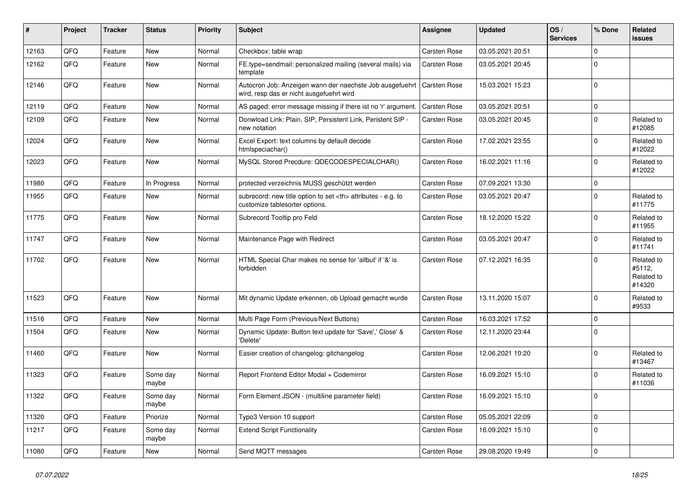| ∦     | Project | <b>Tracker</b> | <b>Status</b>     | <b>Priority</b> | Subject                                                                                                             | <b>Assignee</b>                                        | <b>Updated</b>   | OS/<br><b>Services</b> | % Done              | Related<br><b>issues</b>                     |                      |
|-------|---------|----------------|-------------------|-----------------|---------------------------------------------------------------------------------------------------------------------|--------------------------------------------------------|------------------|------------------------|---------------------|----------------------------------------------|----------------------|
| 12163 | QFQ     | Feature        | <b>New</b>        | Normal          | Checkbox: table wrap                                                                                                | Carsten Rose                                           | 03.05.2021 20:51 |                        | $\mathbf 0$         |                                              |                      |
| 12162 | QFQ     | Feature        | <b>New</b>        | Normal          | FE.type=sendmail: personalized mailing (several mails) via<br>template                                              | Carsten Rose                                           | 03.05.2021 20:45 |                        | $\mathbf 0$         |                                              |                      |
| 12146 | QFQ     | Feature        | New               | Normal          | Autocron Job: Anzeigen wann der naechste Job ausgefuehrt   Carsten Rose<br>wird, resp das er nicht ausgefuehrt wird |                                                        | 15.03.2021 15:23 |                        | $\mathbf 0$         |                                              |                      |
| 12119 | QFQ     | Feature        | <b>New</b>        | Normal          | AS paged: error message missing if there ist no 'r' argument.                                                       | l Carsten Rose                                         | 03.05.2021 20:51 |                        | $\mathsf{O}\xspace$ |                                              |                      |
| 12109 | QFQ     | Feature        | New               | Normal          | Donwload Link: Plain, SIP, Persistent Link, Peristent SIP -<br>new notation                                         | Carsten Rose                                           | 03.05.2021 20:45 |                        | $\mathbf 0$         | Related to<br>#12085                         |                      |
| 12024 | QFQ     | Feature        | <b>New</b>        | Normal          | Excel Export: text columns by default decode<br>htmlspeciachar()                                                    | Carsten Rose                                           | 17.02.2021 23:55 |                        | $\mathbf 0$         | Related to<br>#12022                         |                      |
| 12023 | QFQ     | Feature        | <b>New</b>        | Normal          | MySQL Stored Precdure: QDECODESPECIALCHAR()                                                                         | Carsten Rose                                           | 16.02.2021 11:16 |                        | $\mathbf 0$         | Related to<br>#12022                         |                      |
| 11980 | QFQ     | Feature        | In Progress       | Normal          | protected verzeichnis MUSS geschützt werden                                                                         | Carsten Rose                                           | 07.09.2021 13:30 |                        | $\mathbf 0$         |                                              |                      |
| 11955 | QFQ     | Feature        | New               | Normal          | subrecord: new title option to set <th> attributes - e.g. to<br/>customize tablesorter options.</th>                | attributes - e.g. to<br>customize tablesorter options. | Carsten Rose     | 03.05.2021 20:47       |                     | $\mathbf 0$                                  | Related to<br>#11775 |
| 11775 | QFQ     | Feature        | New               | Normal          | Subrecord Tooltip pro Feld                                                                                          | Carsten Rose                                           | 18.12.2020 15:22 |                        | $\mathbf 0$         | Related to<br>#11955                         |                      |
| 11747 | QFQ     | Feature        | New               | Normal          | Maintenance Page with Redirect                                                                                      | Carsten Rose                                           | 03.05.2021 20:47 |                        | $\mathbf 0$         | Related to<br>#11741                         |                      |
| 11702 | QFQ     | Feature        | <b>New</b>        | Normal          | HTML Special Char makes no sense for 'allbut' if '&' is<br>forbidden                                                | <b>Carsten Rose</b>                                    | 07.12.2021 16:35 |                        | $\mathbf 0$         | Related to<br>#5112,<br>Related to<br>#14320 |                      |
| 11523 | QFQ     | Feature        | New               | Normal          | Mit dynamic Update erkennen, ob Upload gemacht wurde                                                                | Carsten Rose                                           | 13.11.2020 15:07 |                        | $\mathbf 0$         | Related to<br>#9533                          |                      |
| 11516 | QFQ     | Feature        | <b>New</b>        | Normal          | Multi Page Form (Previous/Next Buttons)                                                                             | Carsten Rose                                           | 16.03.2021 17:52 |                        | $\mathbf 0$         |                                              |                      |
| 11504 | QFQ     | Feature        | <b>New</b>        | Normal          | Dynamic Update: Button text update for 'Save',' Close' &<br>'Delete'                                                | Carsten Rose                                           | 12.11.2020 23:44 |                        | $\mathbf 0$         |                                              |                      |
| 11460 | QFQ     | Feature        | New               | Normal          | Easier creation of changelog: gitchangelog                                                                          | Carsten Rose                                           | 12.06.2021 10:20 |                        | $\mathbf 0$         | Related to<br>#13467                         |                      |
| 11323 | QFQ     | Feature        | Some day<br>maybe | Normal          | Report Frontend Editor Modal + Codemirror                                                                           | <b>Carsten Rose</b>                                    | 16.09.2021 15:10 |                        | $\mathbf 0$         | Related to<br>#11036                         |                      |
| 11322 | QFG     | Feature        | Some day<br>maybe | Normal          | Form Element JSON - (multiline parameter field)                                                                     | Carsten Rose                                           | 16.09.2021 15:10 |                        | $\mathsf{U}$        |                                              |                      |
| 11320 | QFQ     | Feature        | Priorize          | Normal          | Typo3 Version 10 support                                                                                            | Carsten Rose                                           | 05.05.2021 22:09 |                        | $\mathbf 0$         |                                              |                      |
| 11217 | QFQ     | Feature        | Some day<br>maybe | Normal          | <b>Extend Script Functionality</b>                                                                                  | Carsten Rose                                           | 16.09.2021 15:10 |                        | $\mathbf 0$         |                                              |                      |
| 11080 | QFQ     | Feature        | New               | Normal          | Send MQTT messages                                                                                                  | Carsten Rose                                           | 29.08.2020 19:49 |                        | $\mathsf 0$         |                                              |                      |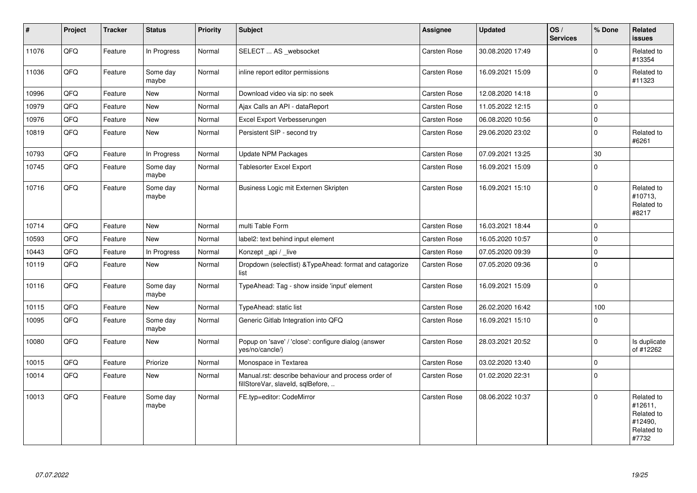| $\sharp$ | Project | <b>Tracker</b> | <b>Status</b>     | <b>Priority</b> | Subject                                                                                  | Assignee     | <b>Updated</b>   | OS/<br><b>Services</b> | % Done      | Related<br><b>issues</b>                                              |
|----------|---------|----------------|-------------------|-----------------|------------------------------------------------------------------------------------------|--------------|------------------|------------------------|-------------|-----------------------------------------------------------------------|
| 11076    | QFQ     | Feature        | In Progress       | Normal          | SELECT  AS _websocket                                                                    | Carsten Rose | 30.08.2020 17:49 |                        | $\Omega$    | Related to<br>#13354                                                  |
| 11036    | QFQ     | Feature        | Some day<br>maybe | Normal          | inline report editor permissions                                                         | Carsten Rose | 16.09.2021 15:09 |                        | $\mathbf 0$ | Related to<br>#11323                                                  |
| 10996    | QFQ     | Feature        | New               | Normal          | Download video via sip: no seek                                                          | Carsten Rose | 12.08.2020 14:18 |                        | $\mathbf 0$ |                                                                       |
| 10979    | QFQ     | Feature        | <b>New</b>        | Normal          | Ajax Calls an API - dataReport                                                           | Carsten Rose | 11.05.2022 12:15 |                        | $\mathbf 0$ |                                                                       |
| 10976    | QFQ     | Feature        | New               | Normal          | Excel Export Verbesserungen                                                              | Carsten Rose | 06.08.2020 10:56 |                        | $\pmb{0}$   |                                                                       |
| 10819    | QFQ     | Feature        | New               | Normal          | Persistent SIP - second try                                                              | Carsten Rose | 29.06.2020 23:02 |                        | $\mathbf 0$ | Related to<br>#6261                                                   |
| 10793    | QFQ     | Feature        | In Progress       | Normal          | Update NPM Packages                                                                      | Carsten Rose | 07.09.2021 13:25 |                        | 30          |                                                                       |
| 10745    | QFQ     | Feature        | Some day<br>maybe | Normal          | Tablesorter Excel Export                                                                 | Carsten Rose | 16.09.2021 15:09 |                        | $\mathbf 0$ |                                                                       |
| 10716    | QFQ     | Feature        | Some day<br>maybe | Normal          | Business Logic mit Externen Skripten                                                     | Carsten Rose | 16.09.2021 15:10 |                        | $\Omega$    | Related to<br>#10713,<br>Related to<br>#8217                          |
| 10714    | QFQ     | Feature        | <b>New</b>        | Normal          | multi Table Form                                                                         | Carsten Rose | 16.03.2021 18:44 |                        | $\Omega$    |                                                                       |
| 10593    | QFQ     | Feature        | <b>New</b>        | Normal          | label2: text behind input element                                                        | Carsten Rose | 16.05.2020 10:57 |                        | $\mathbf 0$ |                                                                       |
| 10443    | QFQ     | Feature        | In Progress       | Normal          | Konzept api / live                                                                       | Carsten Rose | 07.05.2020 09:39 |                        | $\mathbf 0$ |                                                                       |
| 10119    | QFQ     | Feature        | New               | Normal          | Dropdown (selectlist) & Type Ahead: format and catagorize<br>list                        | Carsten Rose | 07.05.2020 09:36 |                        | $\mathbf 0$ |                                                                       |
| 10116    | QFQ     | Feature        | Some day<br>maybe | Normal          | TypeAhead: Tag - show inside 'input' element                                             | Carsten Rose | 16.09.2021 15:09 |                        | $\mathbf 0$ |                                                                       |
| 10115    | QFQ     | Feature        | <b>New</b>        | Normal          | TypeAhead: static list                                                                   | Carsten Rose | 26.02.2020 16:42 |                        | 100         |                                                                       |
| 10095    | QFQ     | Feature        | Some day<br>maybe | Normal          | Generic Gitlab Integration into QFQ                                                      | Carsten Rose | 16.09.2021 15:10 |                        | $\Omega$    |                                                                       |
| 10080    | QFQ     | Feature        | New               | Normal          | Popup on 'save' / 'close': configure dialog (answer<br>yes/no/cancle/)                   | Carsten Rose | 28.03.2021 20:52 |                        | $\Omega$    | Is duplicate<br>of #12262                                             |
| 10015    | QFQ     | Feature        | Priorize          | Normal          | Monospace in Textarea                                                                    | Carsten Rose | 03.02.2020 13:40 |                        | $\mathbf 0$ |                                                                       |
| 10014    | QFQ     | Feature        | <b>New</b>        | Normal          | Manual.rst: describe behaviour and process order of<br>fillStoreVar, slaveId, sqlBefore, | Carsten Rose | 01.02.2020 22:31 |                        | $\Omega$    |                                                                       |
| 10013    | QFG     | Feature        | Some day<br>maybe | Normal          | FE.typ=editor: CodeMirror                                                                | Carsten Rose | 08.06.2022 10:37 |                        | $\Omega$    | Related to<br>#12611,<br>Related to<br>#12490,<br>Related to<br>#7732 |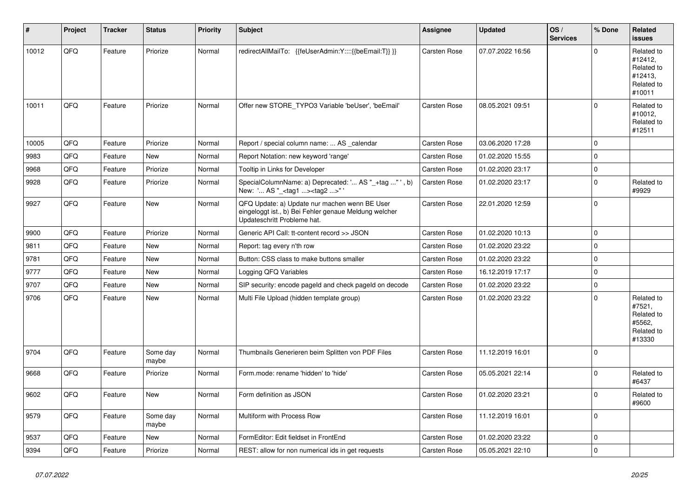| #     | Project | <b>Tracker</b> | <b>Status</b>     | <b>Priority</b> | <b>Subject</b>                                                                                                                        | Assignee     | <b>Updated</b>   | OS/<br><b>Services</b> | % Done      | Related<br>issues                                                      |
|-------|---------|----------------|-------------------|-----------------|---------------------------------------------------------------------------------------------------------------------------------------|--------------|------------------|------------------------|-------------|------------------------------------------------------------------------|
| 10012 | QFQ     | Feature        | Priorize          | Normal          | redirectAllMailTo: {{feUserAdmin:Y::::{{beEmail:T}} }}                                                                                | Carsten Rose | 07.07.2022 16:56 |                        | $\Omega$    | Related to<br>#12412,<br>Related to<br>#12413,<br>Related to<br>#10011 |
| 10011 | QFQ     | Feature        | Priorize          | Normal          | Offer new STORE_TYPO3 Variable 'beUser', 'beEmail'                                                                                    | Carsten Rose | 08.05.2021 09:51 |                        | $\Omega$    | Related to<br>#10012,<br>Related to<br>#12511                          |
| 10005 | QFQ     | Feature        | Priorize          | Normal          | Report / special column name:  AS _calendar                                                                                           | Carsten Rose | 03.06.2020 17:28 |                        | 0           |                                                                        |
| 9983  | QFQ     | Feature        | New               | Normal          | Report Notation: new keyword 'range'                                                                                                  | Carsten Rose | 01.02.2020 15:55 |                        | $\mathbf 0$ |                                                                        |
| 9968  | QFQ     | Feature        | Priorize          | Normal          | Tooltip in Links for Developer                                                                                                        | Carsten Rose | 01.02.2020 23:17 |                        | 0           |                                                                        |
| 9928  | QFQ     | Feature        | Priorize          | Normal          | SpecialColumnName: a) Deprecated: ' AS "_+tag " ', b)<br>New: ' AS "_ <tag1><tag2>"</tag2></tag1>                                     | Carsten Rose | 01.02.2020 23:17 |                        | $\mathbf 0$ | Related to<br>#9929                                                    |
| 9927  | QFQ     | Feature        | New               | Normal          | QFQ Update: a) Update nur machen wenn BE User<br>eingeloggt ist., b) Bei Fehler genaue Meldung welcher<br>Updateschritt Probleme hat. | Carsten Rose | 22.01.2020 12:59 |                        | 0           |                                                                        |
| 9900  | QFQ     | Feature        | Priorize          | Normal          | Generic API Call: tt-content record >> JSON                                                                                           | Carsten Rose | 01.02.2020 10:13 |                        | $\mathbf 0$ |                                                                        |
| 9811  | QFQ     | Feature        | New               | Normal          | Report: tag every n'th row                                                                                                            | Carsten Rose | 01.02.2020 23:22 |                        | $\mathbf 0$ |                                                                        |
| 9781  | QFQ     | Feature        | New               | Normal          | Button: CSS class to make buttons smaller                                                                                             | Carsten Rose | 01.02.2020 23:22 |                        | $\mathbf 0$ |                                                                        |
| 9777  | QFQ     | Feature        | New               | Normal          | Logging QFQ Variables                                                                                                                 | Carsten Rose | 16.12.2019 17:17 |                        | $\mathbf 0$ |                                                                        |
| 9707  | QFQ     | Feature        | <b>New</b>        | Normal          | SIP security: encode pageld and check pageld on decode                                                                                | Carsten Rose | 01.02.2020 23:22 |                        | $\mathbf 0$ |                                                                        |
| 9706  | QFQ     | Feature        | New               | Normal          | Multi File Upload (hidden template group)                                                                                             | Carsten Rose | 01.02.2020 23:22 |                        | $\mathbf 0$ | Related to<br>#7521,<br>Related to<br>#5562,<br>Related to<br>#13330   |
| 9704  | QFQ     | Feature        | Some day<br>maybe | Normal          | Thumbnails Generieren beim Splitten von PDF Files                                                                                     | Carsten Rose | 11.12.2019 16:01 |                        | $\Omega$    |                                                                        |
| 9668  | QFQ     | Feature        | Priorize          | Normal          | Form.mode: rename 'hidden' to 'hide'                                                                                                  | Carsten Rose | 05.05.2021 22:14 |                        | $\Omega$    | Related to<br>#6437                                                    |
| 9602  | QFQ     | Feature        | New               | Normal          | Form definition as JSON                                                                                                               | Carsten Rose | 01.02.2020 23:21 |                        | $\pmb{0}$   | Related to<br>#9600                                                    |
| 9579  | QFQ     | Feature        | Some day<br>maybe | Normal          | Multiform with Process Row                                                                                                            | Carsten Rose | 11.12.2019 16:01 |                        | $\mathbf 0$ |                                                                        |
| 9537  | QFQ     | Feature        | New               | Normal          | FormEditor: Edit fieldset in FrontEnd                                                                                                 | Carsten Rose | 01.02.2020 23:22 |                        | 0           |                                                                        |
| 9394  | QFQ     | Feature        | Priorize          | Normal          | REST: allow for non numerical ids in get requests                                                                                     | Carsten Rose | 05.05.2021 22:10 |                        | $\mathbf 0$ |                                                                        |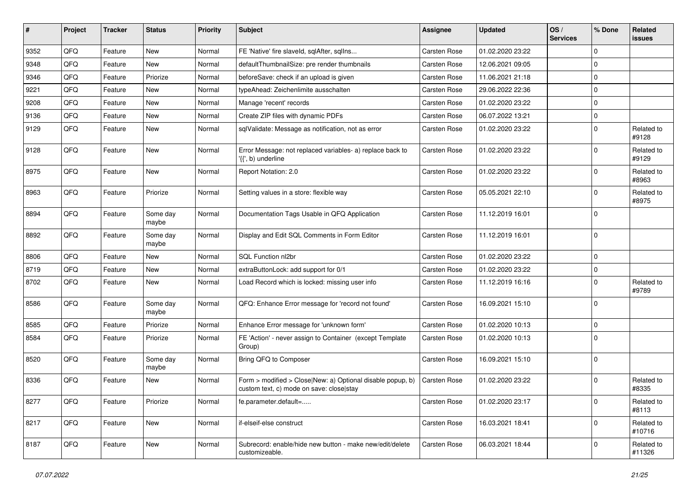| ∦    | Project | <b>Tracker</b> | <b>Status</b>     | <b>Priority</b> | Subject                                                                                                | <b>Assignee</b>     | <b>Updated</b>   | OS/<br><b>Services</b> | % Done      | Related<br><b>issues</b> |
|------|---------|----------------|-------------------|-----------------|--------------------------------------------------------------------------------------------------------|---------------------|------------------|------------------------|-------------|--------------------------|
| 9352 | QFQ     | Feature        | <b>New</b>        | Normal          | FE 'Native' fire slaveld, sqlAfter, sqlIns                                                             | <b>Carsten Rose</b> | 01.02.2020 23:22 |                        | $\mathbf 0$ |                          |
| 9348 | QFQ     | Feature        | <b>New</b>        | Normal          | defaultThumbnailSize: pre render thumbnails                                                            | Carsten Rose        | 12.06.2021 09:05 |                        | $\mathbf 0$ |                          |
| 9346 | QFQ     | Feature        | Priorize          | Normal          | beforeSave: check if an upload is given                                                                | Carsten Rose        | 11.06.2021 21:18 |                        | $\mathbf 0$ |                          |
| 9221 | QFQ     | Feature        | <b>New</b>        | Normal          | typeAhead: Zeichenlimite ausschalten                                                                   | <b>Carsten Rose</b> | 29.06.2022 22:36 |                        | $\mathbf 0$ |                          |
| 9208 | QFQ     | Feature        | <b>New</b>        | Normal          | Manage 'recent' records                                                                                | Carsten Rose        | 01.02.2020 23:22 |                        | $\mathbf 0$ |                          |
| 9136 | QFQ     | Feature        | <b>New</b>        | Normal          | Create ZIP files with dynamic PDFs                                                                     | Carsten Rose        | 06.07.2022 13:21 |                        | $\mathbf 0$ |                          |
| 9129 | QFQ     | Feature        | <b>New</b>        | Normal          | sqlValidate: Message as notification, not as error                                                     | Carsten Rose        | 01.02.2020 23:22 |                        | $\mathbf 0$ | Related to<br>#9128      |
| 9128 | QFQ     | Feature        | <b>New</b>        | Normal          | Error Message: not replaced variables- a) replace back to<br>'{{', b) underline                        | Carsten Rose        | 01.02.2020 23:22 |                        | $\mathbf 0$ | Related to<br>#9129      |
| 8975 | QFQ     | Feature        | <b>New</b>        | Normal          | Report Notation: 2.0                                                                                   | <b>Carsten Rose</b> | 01.02.2020 23:22 |                        | $\mathbf 0$ | Related to<br>#8963      |
| 8963 | QFQ     | Feature        | Priorize          | Normal          | Setting values in a store: flexible way                                                                | Carsten Rose        | 05.05.2021 22:10 |                        | $\mathbf 0$ | Related to<br>#8975      |
| 8894 | QFQ     | Feature        | Some day<br>maybe | Normal          | Documentation Tags Usable in QFQ Application                                                           | Carsten Rose        | 11.12.2019 16:01 |                        | $\mathbf 0$ |                          |
| 8892 | QFQ     | Feature        | Some day<br>maybe | Normal          | Display and Edit SQL Comments in Form Editor                                                           | Carsten Rose        | 11.12.2019 16:01 |                        | $\mathbf 0$ |                          |
| 8806 | QFQ     | Feature        | New               | Normal          | SQL Function nl2br                                                                                     | Carsten Rose        | 01.02.2020 23:22 |                        | $\mathbf 0$ |                          |
| 8719 | QFQ     | Feature        | <b>New</b>        | Normal          | extraButtonLock: add support for 0/1                                                                   | Carsten Rose        | 01.02.2020 23:22 |                        | $\mathbf 0$ |                          |
| 8702 | QFQ     | Feature        | <b>New</b>        | Normal          | Load Record which is locked: missing user info                                                         | Carsten Rose        | 11.12.2019 16:16 |                        | $\mathbf 0$ | Related to<br>#9789      |
| 8586 | QFQ     | Feature        | Some day<br>maybe | Normal          | QFQ: Enhance Error message for 'record not found'                                                      | Carsten Rose        | 16.09.2021 15:10 |                        | $\mathbf 0$ |                          |
| 8585 | QFQ     | Feature        | Priorize          | Normal          | Enhance Error message for 'unknown form'                                                               | Carsten Rose        | 01.02.2020 10:13 |                        | $\mathbf 0$ |                          |
| 8584 | QFQ     | Feature        | Priorize          | Normal          | FE 'Action' - never assign to Container (except Template)<br>Group)                                    | Carsten Rose        | 01.02.2020 10:13 |                        | $\mathbf 0$ |                          |
| 8520 | QFQ     | Feature        | Some day<br>maybe | Normal          | Bring QFQ to Composer                                                                                  | <b>Carsten Rose</b> | 16.09.2021 15:10 |                        | $\mathbf 0$ |                          |
| 8336 | QFQ     | Feature        | <b>New</b>        | Normal          | Form > modified > Close New: a) Optional disable popup, b)<br>custom text, c) mode on save: close stay | <b>Carsten Rose</b> | 01.02.2020 23:22 |                        | $\mathbf 0$ | Related to<br>#8335      |
| 8277 | QFQ     | Feature        | Priorize          | Normal          | fe.parameter.default=                                                                                  | Carsten Rose        | 01.02.2020 23:17 |                        | $\mathbf 0$ | Related to<br>#8113      |
| 8217 | QFQ     | Feature        | New               | Normal          | if-elseif-else construct                                                                               | Carsten Rose        | 16.03.2021 18:41 |                        | $\mathbf 0$ | Related to<br>#10716     |
| 8187 | QFQ     | Feature        | New               | Normal          | Subrecord: enable/hide new button - make new/edit/delete<br>customizeable.                             | Carsten Rose        | 06.03.2021 18:44 |                        | 0           | Related to<br>#11326     |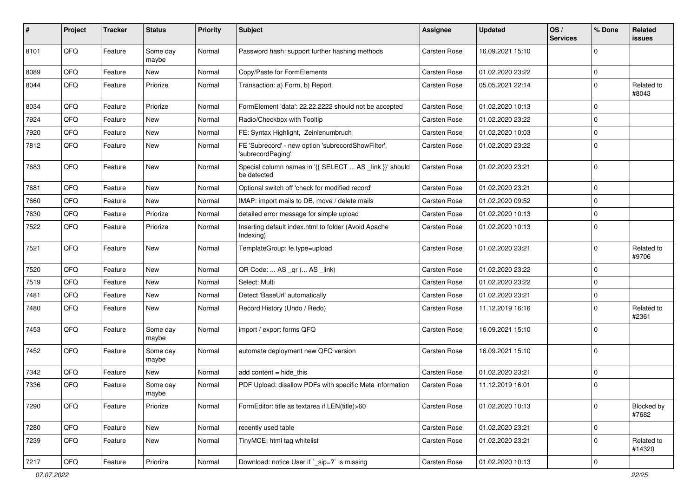| #    | Project | <b>Tracker</b> | <b>Status</b>     | <b>Priority</b> | <b>Subject</b>                                                          | Assignee            | <b>Updated</b>   | OS/<br><b>Services</b> | % Done      | Related<br>issues    |
|------|---------|----------------|-------------------|-----------------|-------------------------------------------------------------------------|---------------------|------------------|------------------------|-------------|----------------------|
| 8101 | QFQ     | Feature        | Some day<br>maybe | Normal          | Password hash: support further hashing methods                          | Carsten Rose        | 16.09.2021 15:10 |                        | $\Omega$    |                      |
| 8089 | QFQ     | Feature        | New               | Normal          | Copy/Paste for FormElements                                             | Carsten Rose        | 01.02.2020 23:22 |                        | 0           |                      |
| 8044 | QFQ     | Feature        | Priorize          | Normal          | Transaction: a) Form, b) Report                                         | Carsten Rose        | 05.05.2021 22:14 |                        | $\Omega$    | Related to<br>#8043  |
| 8034 | QFQ     | Feature        | Priorize          | Normal          | FormElement 'data': 22.22.2222 should not be accepted                   | Carsten Rose        | 01.02.2020 10:13 |                        | $\Omega$    |                      |
| 7924 | QFQ     | Feature        | <b>New</b>        | Normal          | Radio/Checkbox with Tooltip                                             | Carsten Rose        | 01.02.2020 23:22 |                        | 0           |                      |
| 7920 | QFQ     | Feature        | New               | Normal          | FE: Syntax Highlight, Zeinlenumbruch                                    | <b>Carsten Rose</b> | 01.02.2020 10:03 |                        | $\Omega$    |                      |
| 7812 | QFQ     | Feature        | <b>New</b>        | Normal          | FE 'Subrecord' - new option 'subrecordShowFilter',<br>'subrecordPaging' | Carsten Rose        | 01.02.2020 23:22 |                        | $\Omega$    |                      |
| 7683 | QFQ     | Feature        | <b>New</b>        | Normal          | Special column names in '{{ SELECT  AS _link }}' should<br>be detected  | Carsten Rose        | 01.02.2020 23:21 |                        | $\Omega$    |                      |
| 7681 | QFQ     | Feature        | New               | Normal          | Optional switch off 'check for modified record'                         | Carsten Rose        | 01.02.2020 23:21 |                        | $\Omega$    |                      |
| 7660 | QFQ     | Feature        | New               | Normal          | IMAP: import mails to DB, move / delete mails                           | Carsten Rose        | 01.02.2020 09:52 |                        | $\mathbf 0$ |                      |
| 7630 | QFQ     | Feature        | Priorize          | Normal          | detailed error message for simple upload                                | Carsten Rose        | 01.02.2020 10:13 |                        | 0           |                      |
| 7522 | QFQ     | Feature        | Priorize          | Normal          | Inserting default index.html to folder (Avoid Apache<br>Indexing)       | Carsten Rose        | 01.02.2020 10:13 |                        | $\Omega$    |                      |
| 7521 | QFQ     | Feature        | <b>New</b>        | Normal          | TemplateGroup: fe.type=upload                                           | Carsten Rose        | 01.02.2020 23:21 |                        | 0           | Related to<br>#9706  |
| 7520 | QFQ     | Feature        | <b>New</b>        | Normal          | QR Code:  AS _qr ( AS _link)                                            | <b>Carsten Rose</b> | 01.02.2020 23:22 |                        | 0           |                      |
| 7519 | QFQ     | Feature        | <b>New</b>        | Normal          | Select: Multi                                                           | Carsten Rose        | 01.02.2020 23:22 |                        | $\Omega$    |                      |
| 7481 | QFQ     | Feature        | New               | Normal          | Detect 'BaseUrl' automatically                                          | Carsten Rose        | 01.02.2020 23:21 |                        | $\mathbf 0$ |                      |
| 7480 | QFQ     | Feature        | <b>New</b>        | Normal          | Record History (Undo / Redo)                                            | Carsten Rose        | 11.12.2019 16:16 |                        | $\Omega$    | Related to<br>#2361  |
| 7453 | QFQ     | Feature        | Some day<br>maybe | Normal          | import / export forms QFQ                                               | Carsten Rose        | 16.09.2021 15:10 |                        | 0           |                      |
| 7452 | QFQ     | Feature        | Some day<br>maybe | Normal          | automate deployment new QFQ version                                     | Carsten Rose        | 16.09.2021 15:10 |                        | $\Omega$    |                      |
| 7342 | QFQ     | Feature        | New               | Normal          | add content $=$ hide this                                               | Carsten Rose        | 01.02.2020 23:21 |                        | 0           |                      |
| 7336 | QFQ     | Feature        | Some day<br>maybe | Normal          | PDF Upload: disallow PDFs with specific Meta information                | Carsten Rose        | 11.12.2019 16:01 |                        | $\Omega$    |                      |
| 7290 | QFQ     | Feature        | Priorize          | Normal          | FormEditor: title as textarea if LEN(title)>60                          | Carsten Rose        | 01.02.2020 10:13 |                        | $\Omega$    | Blocked by<br>#7682  |
| 7280 | QFQ     | Feature        | New               | Normal          | recently used table                                                     | Carsten Rose        | 01.02.2020 23:21 |                        | 0           |                      |
| 7239 | QFQ     | Feature        | New               | Normal          | TinyMCE: html tag whitelist                                             | Carsten Rose        | 01.02.2020 23:21 |                        | 0           | Related to<br>#14320 |
| 7217 | QFG     | Feature        | Priorize          | Normal          | Download: notice User if `_sip=?` is missing                            | Carsten Rose        | 01.02.2020 10:13 |                        | $\mathbf 0$ |                      |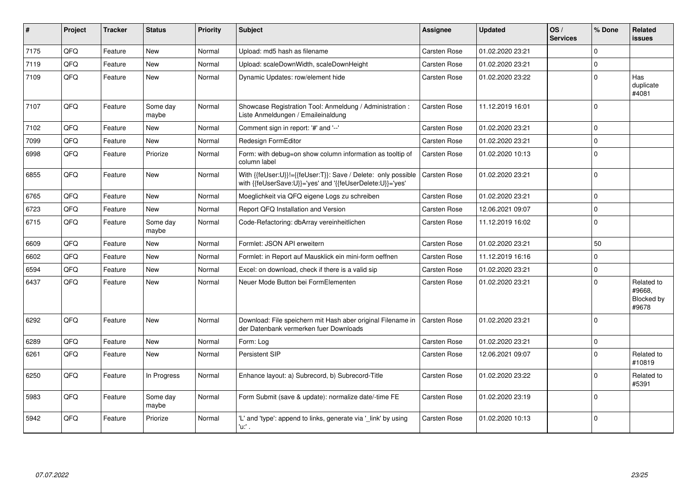| #    | Project | <b>Tracker</b> | <b>Status</b>     | <b>Priority</b> | Subject                                                                                                                    | Assignee            | <b>Updated</b>   | OS/<br><b>Services</b> | % Done      | Related<br><b>issues</b>                    |
|------|---------|----------------|-------------------|-----------------|----------------------------------------------------------------------------------------------------------------------------|---------------------|------------------|------------------------|-------------|---------------------------------------------|
| 7175 | QFQ     | Feature        | <b>New</b>        | Normal          | Upload: md5 hash as filename                                                                                               | Carsten Rose        | 01.02.2020 23:21 |                        | $\Omega$    |                                             |
| 7119 | QFQ     | Feature        | <b>New</b>        | Normal          | Upload: scaleDownWidth, scaleDownHeight                                                                                    | Carsten Rose        | 01.02.2020 23:21 |                        | $\mathbf 0$ |                                             |
| 7109 | QFQ     | Feature        | <b>New</b>        | Normal          | Dynamic Updates: row/element hide                                                                                          | Carsten Rose        | 01.02.2020 23:22 |                        | $\Omega$    | Has<br>duplicate<br>#4081                   |
| 7107 | QFQ     | Feature        | Some day<br>maybe | Normal          | Showcase Registration Tool: Anmeldung / Administration :<br>Liste Anmeldungen / Emaileinaldung                             | Carsten Rose        | 11.12.2019 16:01 |                        | $\Omega$    |                                             |
| 7102 | QFQ     | Feature        | <b>New</b>        | Normal          | Comment sign in report: '#' and '--'                                                                                       | Carsten Rose        | 01.02.2020 23:21 |                        | $\Omega$    |                                             |
| 7099 | QFQ     | Feature        | <b>New</b>        | Normal          | <b>Redesign FormEditor</b>                                                                                                 | Carsten Rose        | 01.02.2020 23:21 |                        | $\mathbf 0$ |                                             |
| 6998 | QFQ     | Feature        | Priorize          | Normal          | Form: with debug=on show column information as tooltip of<br>column label                                                  | Carsten Rose        | 01.02.2020 10:13 |                        | $\mathbf 0$ |                                             |
| 6855 | QFQ     | Feature        | New               | Normal          | With {{feUser:U}}!={{feUser:T}}: Save / Delete: only possible<br>with {{feUserSave:U}}='yes' and '{{feUserDelete:U}}='yes' | <b>Carsten Rose</b> | 01.02.2020 23:21 |                        | $\mathbf 0$ |                                             |
| 6765 | QFQ     | Feature        | <b>New</b>        | Normal          | Moeglichkeit via QFQ eigene Logs zu schreiben                                                                              | Carsten Rose        | 01.02.2020 23:21 |                        | $\Omega$    |                                             |
| 6723 | QFQ     | Feature        | <b>New</b>        | Normal          | Report QFQ Installation and Version                                                                                        | Carsten Rose        | 12.06.2021 09:07 |                        | $\mathbf 0$ |                                             |
| 6715 | QFQ     | Feature        | Some day<br>maybe | Normal          | Code-Refactoring: dbArray vereinheitlichen                                                                                 | Carsten Rose        | 11.12.2019 16:02 |                        | $\Omega$    |                                             |
| 6609 | QFQ     | Feature        | <b>New</b>        | Normal          | Formlet: JSON API erweitern                                                                                                | Carsten Rose        | 01.02.2020 23:21 |                        | 50          |                                             |
| 6602 | QFQ     | Feature        | <b>New</b>        | Normal          | Formlet: in Report auf Mausklick ein mini-form oeffnen                                                                     | Carsten Rose        | 11.12.2019 16:16 |                        | $\Omega$    |                                             |
| 6594 | QFQ     | Feature        | <b>New</b>        | Normal          | Excel: on download, check if there is a valid sip                                                                          | Carsten Rose        | 01.02.2020 23:21 |                        | $\Omega$    |                                             |
| 6437 | QFQ     | Feature        | New               | Normal          | Neuer Mode Button bei FormElementen                                                                                        | Carsten Rose        | 01.02.2020 23:21 |                        | $\Omega$    | Related to<br>#9668,<br>Blocked by<br>#9678 |
| 6292 | QFQ     | Feature        | <b>New</b>        | Normal          | Download: File speichern mit Hash aber original Filename in<br>der Datenbank vermerken fuer Downloads                      | <b>Carsten Rose</b> | 01.02.2020 23:21 |                        | $\Omega$    |                                             |
| 6289 | QFQ     | Feature        | <b>New</b>        | Normal          | Form: Log                                                                                                                  | Carsten Rose        | 01.02.2020 23:21 |                        | $\mathbf 0$ |                                             |
| 6261 | QFQ     | Feature        | New               | Normal          | <b>Persistent SIP</b>                                                                                                      | Carsten Rose        | 12.06.2021 09:07 |                        | $\Omega$    | Related to<br>#10819                        |
| 6250 | QFQ     | Feature        | In Progress       | Normal          | Enhance layout: a) Subrecord, b) Subrecord-Title                                                                           | Carsten Rose        | 01.02.2020 23:22 |                        | $\Omega$    | Related to<br>#5391                         |
| 5983 | QFQ     | Feature        | Some day<br>maybe | Normal          | Form Submit (save & update): normalize date/-time FE                                                                       | Carsten Rose        | 01.02.2020 23:19 |                        | $\Omega$    |                                             |
| 5942 | QFQ     | Feature        | Priorize          | Normal          | 'L' and 'type': append to links, generate via '_link' by using<br>'u. .                                                    | Carsten Rose        | 01.02.2020 10:13 |                        | $\mathbf 0$ |                                             |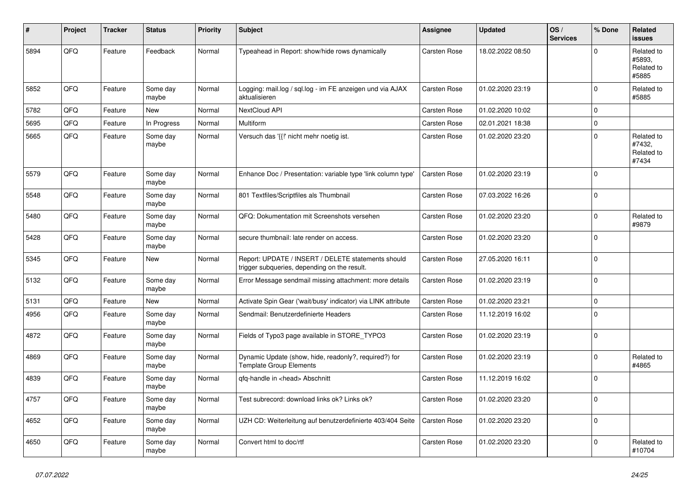| #    | Project | <b>Tracker</b> | <b>Status</b>     | <b>Priority</b> | <b>Subject</b>                                                                                     | Assignee     | <b>Updated</b>   | OS/<br><b>Services</b> | % Done      | Related<br>issues                           |
|------|---------|----------------|-------------------|-----------------|----------------------------------------------------------------------------------------------------|--------------|------------------|------------------------|-------------|---------------------------------------------|
| 5894 | QFQ     | Feature        | Feedback          | Normal          | Typeahead in Report: show/hide rows dynamically                                                    | Carsten Rose | 18.02.2022 08:50 |                        | $\Omega$    | Related to<br>#5893.<br>Related to<br>#5885 |
| 5852 | QFQ     | Feature        | Some day<br>maybe | Normal          | Logging: mail.log / sql.log - im FE anzeigen und via AJAX<br>aktualisieren                         | Carsten Rose | 01.02.2020 23:19 |                        | $\Omega$    | Related to<br>#5885                         |
| 5782 | QFQ     | Feature        | New               | Normal          | NextCloud API                                                                                      | Carsten Rose | 01.02.2020 10:02 |                        | $\mathbf 0$ |                                             |
| 5695 | QFQ     | Feature        | In Progress       | Normal          | Multiform                                                                                          | Carsten Rose | 02.01.2021 18:38 |                        | $\mathbf 0$ |                                             |
| 5665 | QFQ     | Feature        | Some day<br>maybe | Normal          | Versuch das '{{!' nicht mehr noetig ist.                                                           | Carsten Rose | 01.02.2020 23:20 |                        | $\mathbf 0$ | Related to<br>#7432,<br>Related to<br>#7434 |
| 5579 | QFQ     | Feature        | Some day<br>maybe | Normal          | Enhance Doc / Presentation: variable type 'link column type'                                       | Carsten Rose | 01.02.2020 23:19 |                        | $\mathbf 0$ |                                             |
| 5548 | QFQ     | Feature        | Some day<br>maybe | Normal          | 801 Textfiles/Scriptfiles als Thumbnail                                                            | Carsten Rose | 07.03.2022 16:26 |                        | $\mathbf 0$ |                                             |
| 5480 | QFQ     | Feature        | Some day<br>maybe | Normal          | QFQ: Dokumentation mit Screenshots versehen                                                        | Carsten Rose | 01.02.2020 23:20 |                        | $\mathbf 0$ | Related to<br>#9879                         |
| 5428 | QFQ     | Feature        | Some day<br>maybe | Normal          | secure thumbnail: late render on access.                                                           | Carsten Rose | 01.02.2020 23:20 |                        | $\Omega$    |                                             |
| 5345 | QFQ     | Feature        | New               | Normal          | Report: UPDATE / INSERT / DELETE statements should<br>trigger subqueries, depending on the result. | Carsten Rose | 27.05.2020 16:11 |                        | $\mathbf 0$ |                                             |
| 5132 | QFQ     | Feature        | Some day<br>maybe | Normal          | Error Message sendmail missing attachment: more details                                            | Carsten Rose | 01.02.2020 23:19 |                        | $\mathbf 0$ |                                             |
| 5131 | QFQ     | Feature        | New               | Normal          | Activate Spin Gear ('wait/busy' indicator) via LINK attribute                                      | Carsten Rose | 01.02.2020 23:21 |                        | $\mathbf 0$ |                                             |
| 4956 | QFQ     | Feature        | Some day<br>maybe | Normal          | Sendmail: Benutzerdefinierte Headers                                                               | Carsten Rose | 11.12.2019 16:02 |                        | $\mathbf 0$ |                                             |
| 4872 | QFQ     | Feature        | Some day<br>maybe | Normal          | Fields of Typo3 page available in STORE_TYPO3                                                      | Carsten Rose | 01.02.2020 23:19 |                        | $\Omega$    |                                             |
| 4869 | QFQ     | Feature        | Some day<br>maybe | Normal          | Dynamic Update (show, hide, readonly?, required?) for<br><b>Template Group Elements</b>            | Carsten Rose | 01.02.2020 23:19 |                        | $\mathbf 0$ | Related to<br>#4865                         |
| 4839 | QFQ     | Feature        | Some day<br>maybe | Normal          | qfq-handle in <head> Abschnitt</head>                                                              | Carsten Rose | 11.12.2019 16:02 |                        | $\mathbf 0$ |                                             |
| 4757 | QFQ     | Feature        | Some day<br>maybe | Normal          | Test subrecord: download links ok? Links ok?                                                       | Carsten Rose | 01.02.2020 23:20 |                        | $\Omega$    |                                             |
| 4652 | QFQ     | Feature        | Some day<br>maybe | Normal          | UZH CD: Weiterleitung auf benutzerdefinierte 403/404 Seite                                         | Carsten Rose | 01.02.2020 23:20 |                        | $\mathbf 0$ |                                             |
| 4650 | QFQ     | Feature        | Some day<br>maybe | Normal          | Convert html to doc/rtf                                                                            | Carsten Rose | 01.02.2020 23:20 |                        | $\Omega$    | Related to<br>#10704                        |